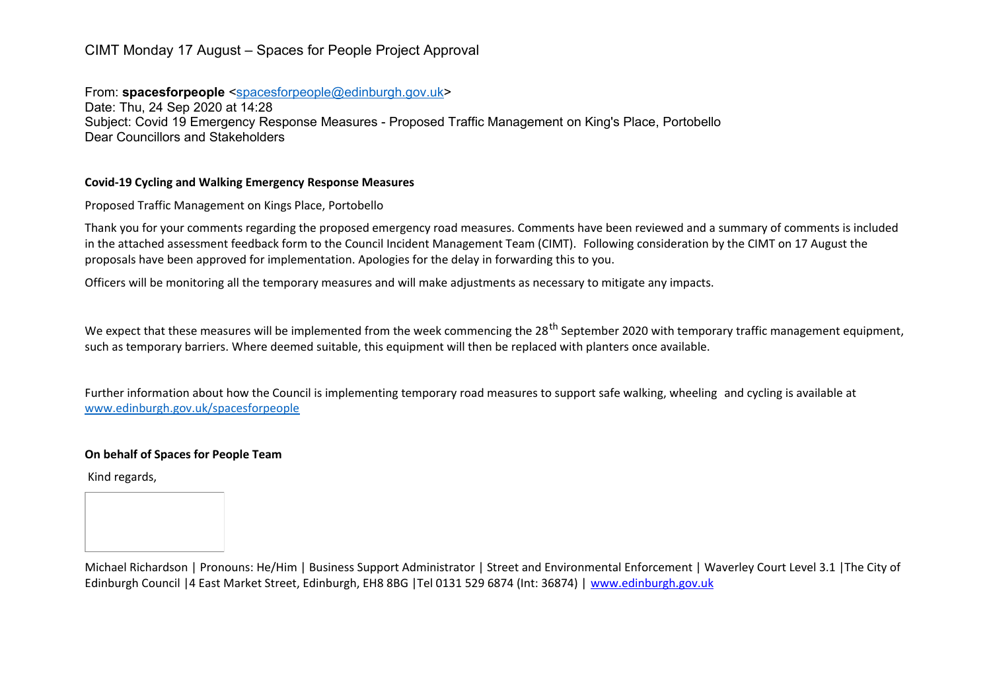# CIMT Monday 17 August – Spaces for People Project Approval

From: **spacesforpeople** [<spacesforpeople@edinburgh.gov.uk>](mailto:spacesforpeople@edinburgh.gov.uk) Date: Thu, 24 Sep 2020 at 14:28 Subject: Covid 19 Emergency Response Measures - Proposed Traffic Management on King's Place, Portobello Dear Councillors and Stakeholders

### **Covid-19 Cycling and Walking Emergency Response Measures**

Proposed Traffic Management on Kings Place, Portobello

Thank you for your comments regarding the proposed emergency road measures. Comments have been reviewed and a summary of comments is included in the attached assessment feedback form to the Council Incident Management Team (CIMT). Following consideration by the CIMT on 17 August the proposals have been approved for implementation. Apologies for the delay in forwarding this to you.

Officers will be monitoring all the temporary measures and will make adjustments as necessary to mitigate any impacts.

We expect that these measures will be implemented from the week commencing the 28<sup>th</sup> September 2020 with temporary traffic management equipment. such as temporary barriers. Where deemed suitable, this equipment will then be replaced with planters once available.

Further information about how the Council is implementing temporary road measures to support safe walking, wheeling and cycling is available at [www.edinburgh.gov.uk/spacesforpeople](http://www.edinburgh.gov.uk/spacesforpeople)

## **On behalf of Spaces for People Team**

Kind regards,

Michael Richardson | Pronouns: He/Him | Business Support Administrator | Street and Environmental Enforcement | Waverley Court Level 3.1 |The City of Edinburgh Council |4 East Market Street, Edinburgh, EH8 8BG |Tel 0131 529 6874 (Int: 36874) | [www.edinburgh.gov.uk](http://www.edinburgh.gov.uk/)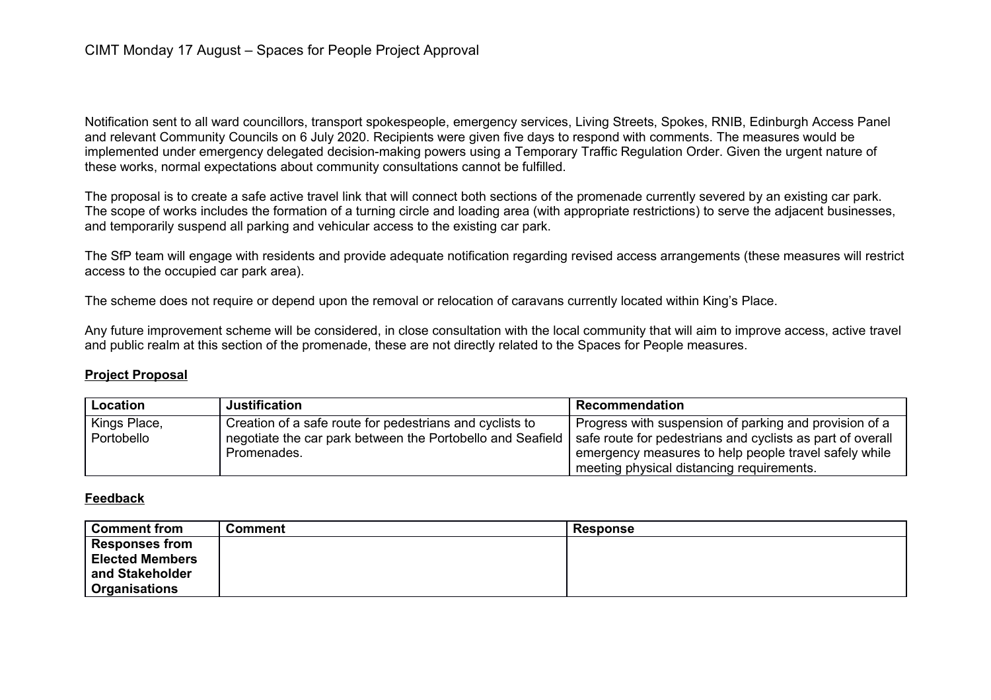Notification sent to all ward councillors, transport spokespeople, emergency services, Living Streets, Spokes, RNIB, Edinburgh Access Panel and relevant Community Councils on 6 July 2020. Recipients were given five days to respond with comments. The measures would be implemented under emergency delegated decision-making powers using a Temporary Traffic Regulation Order. Given the urgent nature of these works, normal expectations about community consultations cannot be fulfilled.

The proposal is to create a safe active travel link that will connect both sections of the promenade currently severed by an existing car park. The scope of works includes the formation of a turning circle and loading area (with appropriate restrictions) to serve the adjacent businesses, and temporarily suspend all parking and vehicular access to the existing car park.

The SfP team will engage with residents and provide adequate notification regarding revised access arrangements (these measures will restrict access to the occupied car park area).

The scheme does not require or depend upon the removal or relocation of caravans currently located within King's Place.

Any future improvement scheme will be considered, in close consultation with the local community that will aim to improve access, active travel and public realm at this section of the promenade, these are not directly related to the Spaces for People measures.

## **Project Proposal**

| Location     | <b>Justification</b>                                       | ' Recommendation                                           |
|--------------|------------------------------------------------------------|------------------------------------------------------------|
| Kings Place, | Creation of a safe route for pedestrians and cyclists to   | Progress with suspension of parking and provision of a     |
| Portobello   | negotiate the car park between the Portobello and Seafield | safe route for pedestrians and cyclists as part of overall |
|              | Promenades.                                                | emergency measures to help people travel safely while      |
|              |                                                            | meeting physical distancing requirements.                  |

### **Feedback**

| <b>Comment from</b>    | <b>Comment</b> | Response |
|------------------------|----------------|----------|
| <b>Responses from</b>  |                |          |
| <b>Elected Members</b> |                |          |
| and Stakeholder        |                |          |
| <b>Organisations</b>   |                |          |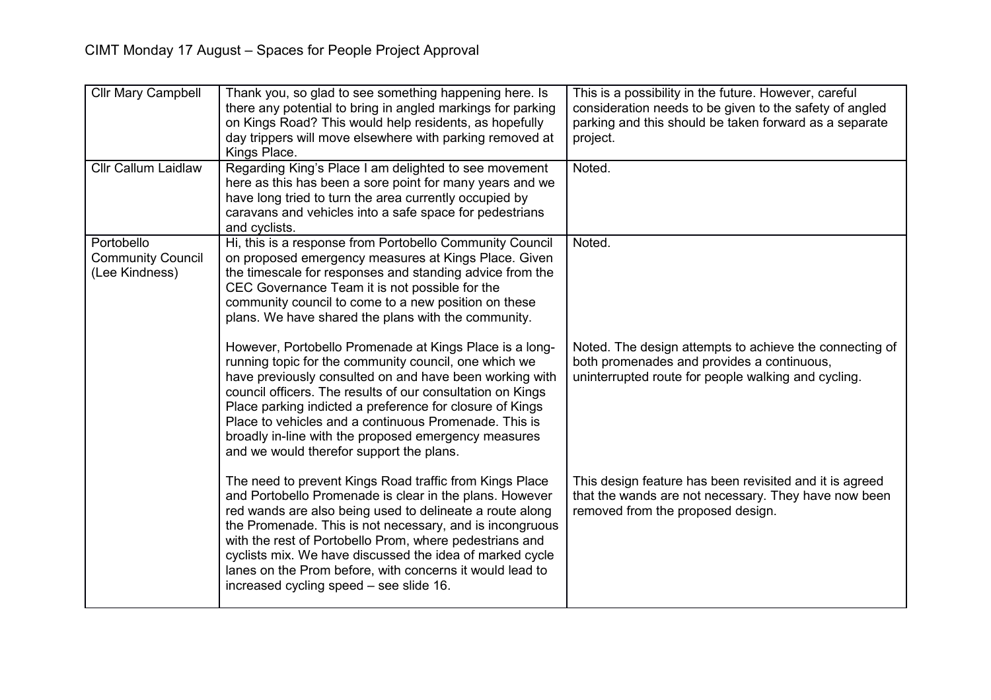| Cllr Mary Campbell                                       | Thank you, so glad to see something happening here. Is<br>there any potential to bring in angled markings for parking<br>on Kings Road? This would help residents, as hopefully<br>day trippers will move elsewhere with parking removed at<br>Kings Place.                                                                                                                                                                                                              | This is a possibility in the future. However, careful<br>consideration needs to be given to the safety of angled<br>parking and this should be taken forward as a separate<br>project. |
|----------------------------------------------------------|--------------------------------------------------------------------------------------------------------------------------------------------------------------------------------------------------------------------------------------------------------------------------------------------------------------------------------------------------------------------------------------------------------------------------------------------------------------------------|----------------------------------------------------------------------------------------------------------------------------------------------------------------------------------------|
| <b>Cllr Callum Laidlaw</b>                               | Regarding King's Place I am delighted to see movement<br>here as this has been a sore point for many years and we<br>have long tried to turn the area currently occupied by<br>caravans and vehicles into a safe space for pedestrians<br>and cyclists.                                                                                                                                                                                                                  | Noted.                                                                                                                                                                                 |
| Portobello<br><b>Community Council</b><br>(Lee Kindness) | Hi, this is a response from Portobello Community Council<br>on proposed emergency measures at Kings Place. Given<br>the timescale for responses and standing advice from the<br>CEC Governance Team it is not possible for the<br>community council to come to a new position on these<br>plans. We have shared the plans with the community.                                                                                                                            | Noted.                                                                                                                                                                                 |
|                                                          | However, Portobello Promenade at Kings Place is a long-<br>running topic for the community council, one which we<br>have previously consulted on and have been working with<br>council officers. The results of our consultation on Kings<br>Place parking indicted a preference for closure of Kings<br>Place to vehicles and a continuous Promenade. This is<br>broadly in-line with the proposed emergency measures<br>and we would therefor support the plans.       | Noted. The design attempts to achieve the connecting of<br>both promenades and provides a continuous,<br>uninterrupted route for people walking and cycling.                           |
|                                                          | The need to prevent Kings Road traffic from Kings Place<br>and Portobello Promenade is clear in the plans. However<br>red wands are also being used to delineate a route along<br>the Promenade. This is not necessary, and is incongruous<br>with the rest of Portobello Prom, where pedestrians and<br>cyclists mix. We have discussed the idea of marked cycle<br>lanes on the Prom before, with concerns it would lead to<br>increased cycling speed - see slide 16. | This design feature has been revisited and it is agreed<br>that the wands are not necessary. They have now been<br>removed from the proposed design.                                   |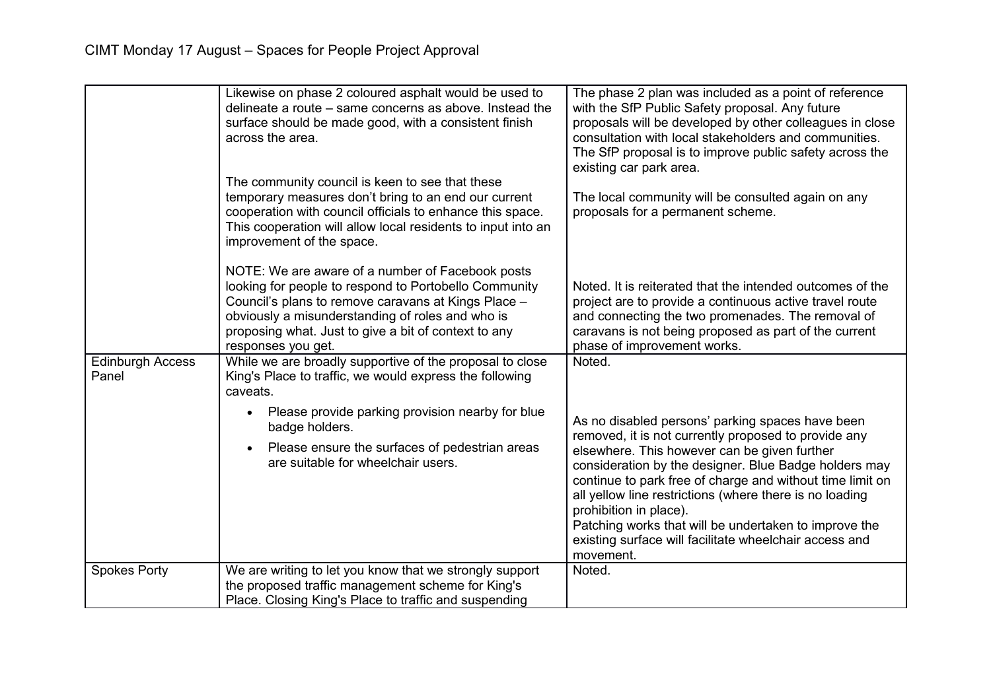|                                  | Likewise on phase 2 coloured asphalt would be used to<br>delineate a route – same concerns as above. Instead the<br>surface should be made good, with a consistent finish<br>across the area.<br>The community council is keen to see that these<br>temporary measures don't bring to an end our current | The phase 2 plan was included as a point of reference<br>with the SfP Public Safety proposal. Any future<br>proposals will be developed by other colleagues in close<br>consultation with local stakeholders and communities.<br>The SfP proposal is to improve public safety across the<br>existing car park area.<br>The local community will be consulted again on any                                                                                                                           |
|----------------------------------|----------------------------------------------------------------------------------------------------------------------------------------------------------------------------------------------------------------------------------------------------------------------------------------------------------|-----------------------------------------------------------------------------------------------------------------------------------------------------------------------------------------------------------------------------------------------------------------------------------------------------------------------------------------------------------------------------------------------------------------------------------------------------------------------------------------------------|
|                                  | cooperation with council officials to enhance this space.<br>This cooperation will allow local residents to input into an<br>improvement of the space.                                                                                                                                                   | proposals for a permanent scheme.                                                                                                                                                                                                                                                                                                                                                                                                                                                                   |
|                                  | NOTE: We are aware of a number of Facebook posts<br>looking for people to respond to Portobello Community<br>Council's plans to remove caravans at Kings Place -<br>obviously a misunderstanding of roles and who is<br>proposing what. Just to give a bit of context to any<br>responses you get.       | Noted. It is reiterated that the intended outcomes of the<br>project are to provide a continuous active travel route<br>and connecting the two promenades. The removal of<br>caravans is not being proposed as part of the current<br>phase of improvement works.                                                                                                                                                                                                                                   |
| <b>Edinburgh Access</b><br>Panel | While we are broadly supportive of the proposal to close<br>King's Place to traffic, we would express the following<br>caveats.                                                                                                                                                                          | Noted.                                                                                                                                                                                                                                                                                                                                                                                                                                                                                              |
|                                  | Please provide parking provision nearby for blue<br>badge holders.<br>Please ensure the surfaces of pedestrian areas<br>are suitable for wheelchair users.                                                                                                                                               | As no disabled persons' parking spaces have been<br>removed, it is not currently proposed to provide any<br>elsewhere. This however can be given further<br>consideration by the designer. Blue Badge holders may<br>continue to park free of charge and without time limit on<br>all yellow line restrictions (where there is no loading<br>prohibition in place).<br>Patching works that will be undertaken to improve the<br>existing surface will facilitate wheelchair access and<br>movement. |
| <b>Spokes Porty</b>              | We are writing to let you know that we strongly support<br>the proposed traffic management scheme for King's<br>Place. Closing King's Place to traffic and suspending                                                                                                                                    | Noted.                                                                                                                                                                                                                                                                                                                                                                                                                                                                                              |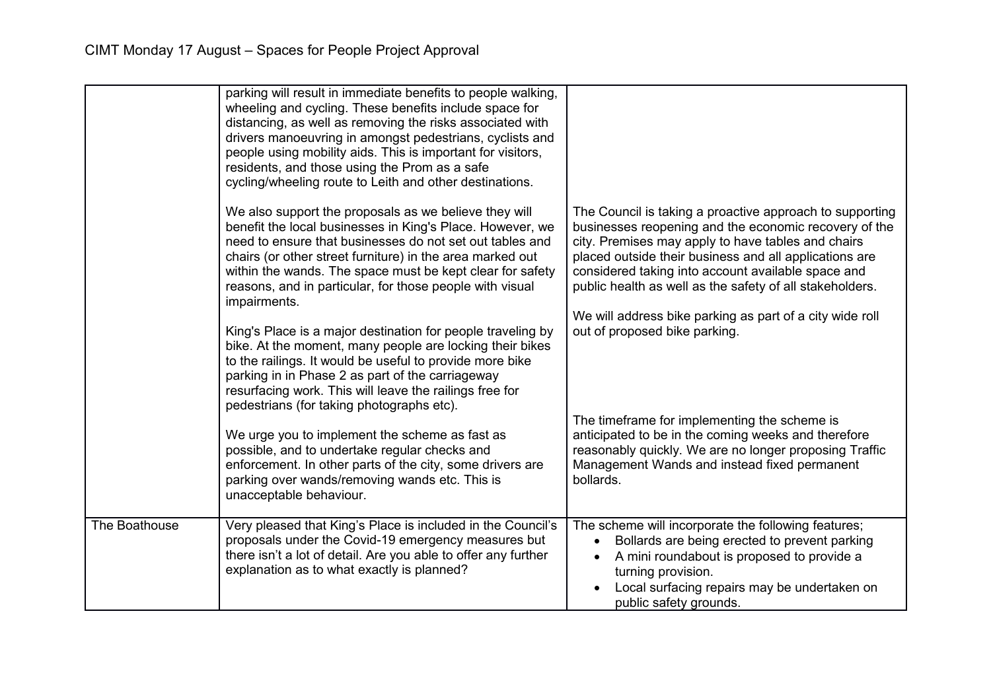|               | parking will result in immediate benefits to people walking,<br>wheeling and cycling. These benefits include space for<br>distancing, as well as removing the risks associated with<br>drivers manoeuvring in amongst pedestrians, cyclists and<br>people using mobility aids. This is important for visitors,<br>residents, and those using the Prom as a safe<br>cycling/wheeling route to Leith and other destinations. |                                                                                                                                                                                                                                                                                                                                                                                                                 |
|---------------|----------------------------------------------------------------------------------------------------------------------------------------------------------------------------------------------------------------------------------------------------------------------------------------------------------------------------------------------------------------------------------------------------------------------------|-----------------------------------------------------------------------------------------------------------------------------------------------------------------------------------------------------------------------------------------------------------------------------------------------------------------------------------------------------------------------------------------------------------------|
|               | We also support the proposals as we believe they will<br>benefit the local businesses in King's Place. However, we<br>need to ensure that businesses do not set out tables and<br>chairs (or other street furniture) in the area marked out<br>within the wands. The space must be kept clear for safety<br>reasons, and in particular, for those people with visual<br>impairments.                                       | The Council is taking a proactive approach to supporting<br>businesses reopening and the economic recovery of the<br>city. Premises may apply to have tables and chairs<br>placed outside their business and all applications are<br>considered taking into account available space and<br>public health as well as the safety of all stakeholders.<br>We will address bike parking as part of a city wide roll |
|               | King's Place is a major destination for people traveling by<br>bike. At the moment, many people are locking their bikes<br>to the railings. It would be useful to provide more bike<br>parking in in Phase 2 as part of the carriageway<br>resurfacing work. This will leave the railings free for<br>pedestrians (for taking photographs etc).                                                                            | out of proposed bike parking.                                                                                                                                                                                                                                                                                                                                                                                   |
|               | We urge you to implement the scheme as fast as<br>possible, and to undertake regular checks and<br>enforcement. In other parts of the city, some drivers are<br>parking over wands/removing wands etc. This is<br>unacceptable behaviour.                                                                                                                                                                                  | The timeframe for implementing the scheme is<br>anticipated to be in the coming weeks and therefore<br>reasonably quickly. We are no longer proposing Traffic<br>Management Wands and instead fixed permanent<br>bollards.                                                                                                                                                                                      |
| The Boathouse | Very pleased that King's Place is included in the Council's<br>proposals under the Covid-19 emergency measures but<br>there isn't a lot of detail. Are you able to offer any further<br>explanation as to what exactly is planned?                                                                                                                                                                                         | The scheme will incorporate the following features;<br>Bollards are being erected to prevent parking<br>$\bullet$<br>A mini roundabout is proposed to provide a<br>$\bullet$<br>turning provision.<br>Local surfacing repairs may be undertaken on<br>public safety grounds.                                                                                                                                    |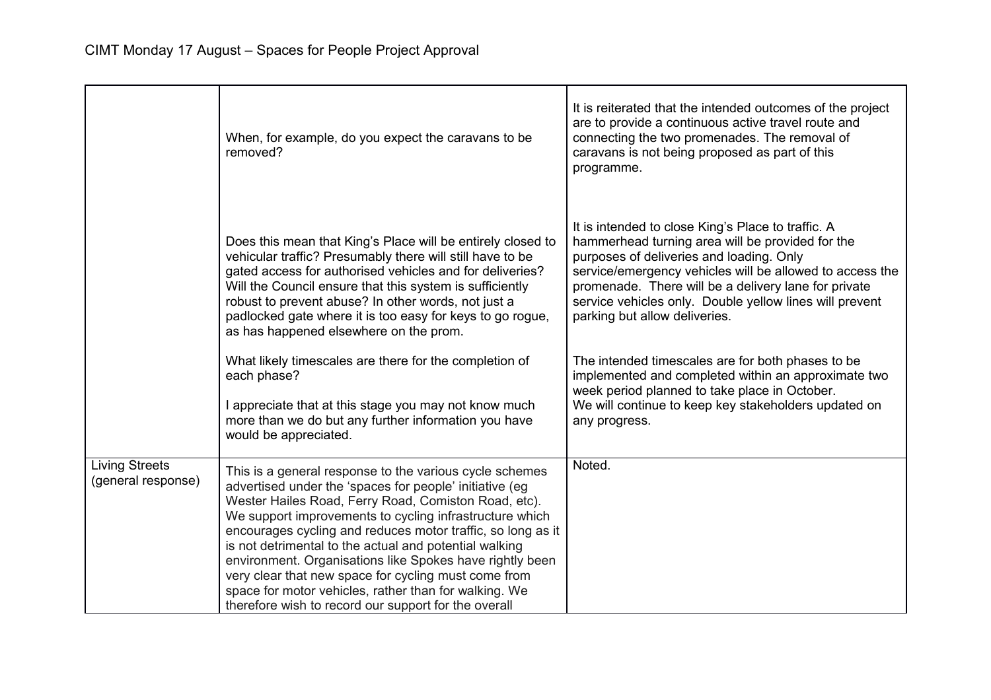|                                             | When, for example, do you expect the caravans to be<br>removed?                                                                                                                                                                                                                                                                                                                                                                                                                                                                                                                                     | It is reiterated that the intended outcomes of the project<br>are to provide a continuous active travel route and<br>connecting the two promenades. The removal of<br>caravans is not being proposed as part of this<br>programme.                                                                                                                                 |
|---------------------------------------------|-----------------------------------------------------------------------------------------------------------------------------------------------------------------------------------------------------------------------------------------------------------------------------------------------------------------------------------------------------------------------------------------------------------------------------------------------------------------------------------------------------------------------------------------------------------------------------------------------------|--------------------------------------------------------------------------------------------------------------------------------------------------------------------------------------------------------------------------------------------------------------------------------------------------------------------------------------------------------------------|
|                                             | Does this mean that King's Place will be entirely closed to<br>vehicular traffic? Presumably there will still have to be<br>gated access for authorised vehicles and for deliveries?<br>Will the Council ensure that this system is sufficiently<br>robust to prevent abuse? In other words, not just a<br>padlocked gate where it is too easy for keys to go rogue,<br>as has happened elsewhere on the prom.                                                                                                                                                                                      | It is intended to close King's Place to traffic. A<br>hammerhead turning area will be provided for the<br>purposes of deliveries and loading. Only<br>service/emergency vehicles will be allowed to access the<br>promenade. There will be a delivery lane for private<br>service vehicles only. Double yellow lines will prevent<br>parking but allow deliveries. |
|                                             | What likely timescales are there for the completion of<br>each phase?<br>I appreciate that at this stage you may not know much<br>more than we do but any further information you have<br>would be appreciated.                                                                                                                                                                                                                                                                                                                                                                                     | The intended timescales are for both phases to be<br>implemented and completed within an approximate two<br>week period planned to take place in October.<br>We will continue to keep key stakeholders updated on<br>any progress.                                                                                                                                 |
| <b>Living Streets</b><br>(general response) | This is a general response to the various cycle schemes<br>advertised under the 'spaces for people' initiative (eg<br>Wester Hailes Road, Ferry Road, Comiston Road, etc).<br>We support improvements to cycling infrastructure which<br>encourages cycling and reduces motor traffic, so long as it<br>is not detrimental to the actual and potential walking<br>environment. Organisations like Spokes have rightly been<br>very clear that new space for cycling must come from<br>space for motor vehicles, rather than for walking. We<br>therefore wish to record our support for the overall | Noted.                                                                                                                                                                                                                                                                                                                                                             |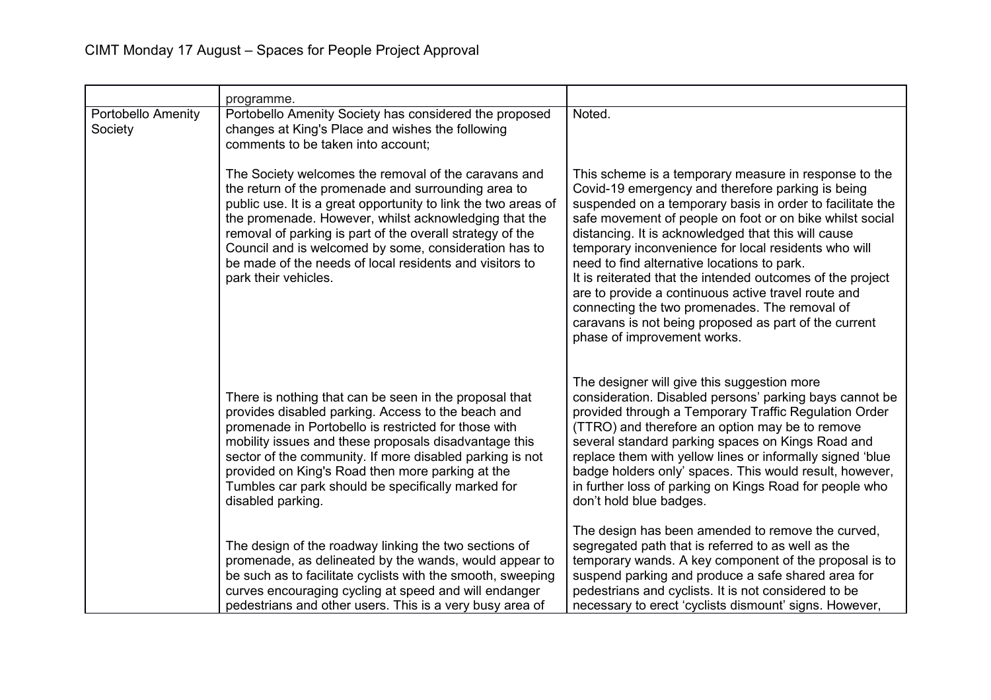|                                      | programme.                                                                                                                                                                                                                                                                                                                                                                                                                                      |                                                                                                                                                                                                                                                                                                                                                                                                                                                                                                                                                                                                                                                                 |
|--------------------------------------|-------------------------------------------------------------------------------------------------------------------------------------------------------------------------------------------------------------------------------------------------------------------------------------------------------------------------------------------------------------------------------------------------------------------------------------------------|-----------------------------------------------------------------------------------------------------------------------------------------------------------------------------------------------------------------------------------------------------------------------------------------------------------------------------------------------------------------------------------------------------------------------------------------------------------------------------------------------------------------------------------------------------------------------------------------------------------------------------------------------------------------|
| <b>Portobello Amenity</b><br>Society | Portobello Amenity Society has considered the proposed<br>changes at King's Place and wishes the following<br>comments to be taken into account;                                                                                                                                                                                                                                                                                                | Noted.                                                                                                                                                                                                                                                                                                                                                                                                                                                                                                                                                                                                                                                          |
|                                      | The Society welcomes the removal of the caravans and<br>the return of the promenade and surrounding area to<br>public use. It is a great opportunity to link the two areas of<br>the promenade. However, whilst acknowledging that the<br>removal of parking is part of the overall strategy of the<br>Council and is welcomed by some, consideration has to<br>be made of the needs of local residents and visitors to<br>park their vehicles. | This scheme is a temporary measure in response to the<br>Covid-19 emergency and therefore parking is being<br>suspended on a temporary basis in order to facilitate the<br>safe movement of people on foot or on bike whilst social<br>distancing. It is acknowledged that this will cause<br>temporary inconvenience for local residents who will<br>need to find alternative locations to park.<br>It is reiterated that the intended outcomes of the project<br>are to provide a continuous active travel route and<br>connecting the two promenades. The removal of<br>caravans is not being proposed as part of the current<br>phase of improvement works. |
|                                      | There is nothing that can be seen in the proposal that<br>provides disabled parking. Access to the beach and<br>promenade in Portobello is restricted for those with<br>mobility issues and these proposals disadvantage this<br>sector of the community. If more disabled parking is not<br>provided on King's Road then more parking at the<br>Tumbles car park should be specifically marked for<br>disabled parking.                        | The designer will give this suggestion more<br>consideration. Disabled persons' parking bays cannot be<br>provided through a Temporary Traffic Regulation Order<br>(TTRO) and therefore an option may be to remove<br>several standard parking spaces on Kings Road and<br>replace them with yellow lines or informally signed 'blue<br>badge holders only' spaces. This would result, however,<br>in further loss of parking on Kings Road for people who<br>don't hold blue badges.                                                                                                                                                                           |
|                                      | The design of the roadway linking the two sections of<br>promenade, as delineated by the wands, would appear to<br>be such as to facilitate cyclists with the smooth, sweeping<br>curves encouraging cycling at speed and will endanger<br>pedestrians and other users. This is a very busy area of                                                                                                                                             | The design has been amended to remove the curved,<br>segregated path that is referred to as well as the<br>temporary wands. A key component of the proposal is to<br>suspend parking and produce a safe shared area for<br>pedestrians and cyclists. It is not considered to be<br>necessary to erect 'cyclists dismount' signs. However,                                                                                                                                                                                                                                                                                                                       |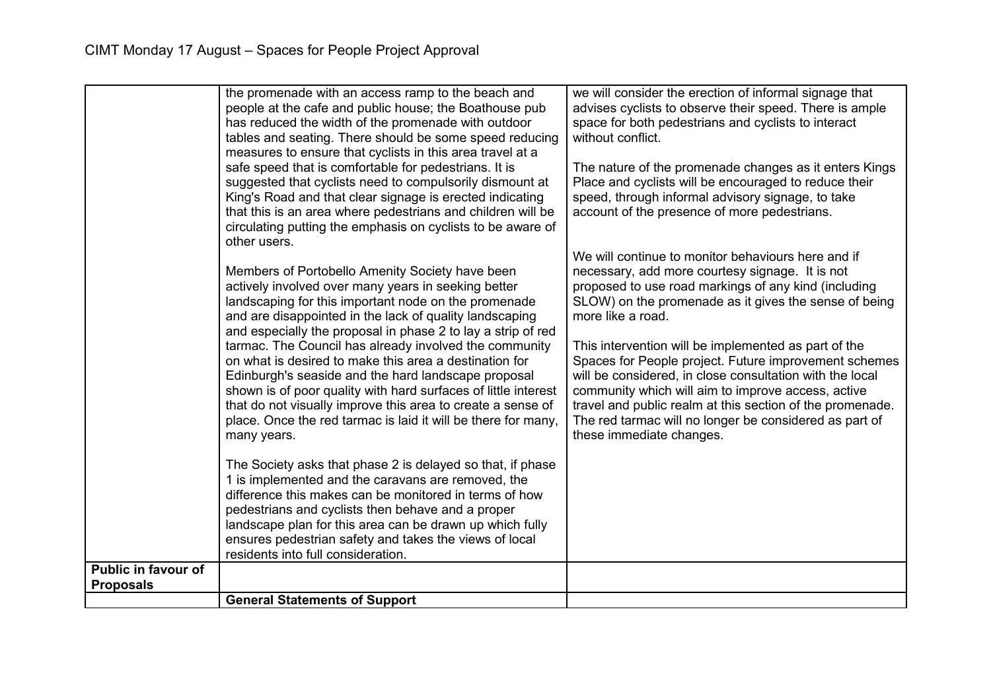|                                                | the promenade with an access ramp to the beach and<br>people at the cafe and public house; the Boathouse pub<br>has reduced the width of the promenade with outdoor<br>tables and seating. There should be some speed reducing                                                                                                                                                                                                                                       | we will consider the erection of informal signage that<br>advises cyclists to observe their speed. There is ample<br>space for both pedestrians and cyclists to interact<br>without conflict.                                                                                                                                                                                                                            |
|------------------------------------------------|----------------------------------------------------------------------------------------------------------------------------------------------------------------------------------------------------------------------------------------------------------------------------------------------------------------------------------------------------------------------------------------------------------------------------------------------------------------------|--------------------------------------------------------------------------------------------------------------------------------------------------------------------------------------------------------------------------------------------------------------------------------------------------------------------------------------------------------------------------------------------------------------------------|
|                                                | measures to ensure that cyclists in this area travel at a<br>safe speed that is comfortable for pedestrians. It is<br>suggested that cyclists need to compulsorily dismount at<br>King's Road and that clear signage is erected indicating<br>that this is an area where pedestrians and children will be<br>circulating putting the emphasis on cyclists to be aware of<br>other users.                                                                             | The nature of the promenade changes as it enters Kings<br>Place and cyclists will be encouraged to reduce their<br>speed, through informal advisory signage, to take<br>account of the presence of more pedestrians.                                                                                                                                                                                                     |
|                                                | Members of Portobello Amenity Society have been<br>actively involved over many years in seeking better<br>landscaping for this important node on the promenade<br>and are disappointed in the lack of quality landscaping<br>and especially the proposal in phase 2 to lay a strip of red<br>tarmac. The Council has already involved the community<br>on what is desired to make this area a destination for<br>Edinburgh's seaside and the hard landscape proposal | We will continue to monitor behaviours here and if<br>necessary, add more courtesy signage. It is not<br>proposed to use road markings of any kind (including<br>SLOW) on the promenade as it gives the sense of being<br>more like a road.<br>This intervention will be implemented as part of the<br>Spaces for People project. Future improvement schemes<br>will be considered, in close consultation with the local |
|                                                | shown is of poor quality with hard surfaces of little interest<br>that do not visually improve this area to create a sense of<br>place. Once the red tarmac is laid it will be there for many,<br>many years.                                                                                                                                                                                                                                                        | community which will aim to improve access, active<br>travel and public realm at this section of the promenade.<br>The red tarmac will no longer be considered as part of<br>these immediate changes.                                                                                                                                                                                                                    |
|                                                | The Society asks that phase 2 is delayed so that, if phase<br>1 is implemented and the caravans are removed, the<br>difference this makes can be monitored in terms of how<br>pedestrians and cyclists then behave and a proper                                                                                                                                                                                                                                      |                                                                                                                                                                                                                                                                                                                                                                                                                          |
|                                                | landscape plan for this area can be drawn up which fully<br>ensures pedestrian safety and takes the views of local<br>residents into full consideration.                                                                                                                                                                                                                                                                                                             |                                                                                                                                                                                                                                                                                                                                                                                                                          |
| <b>Public in favour of</b><br><b>Proposals</b> |                                                                                                                                                                                                                                                                                                                                                                                                                                                                      |                                                                                                                                                                                                                                                                                                                                                                                                                          |
|                                                | <b>General Statements of Support</b>                                                                                                                                                                                                                                                                                                                                                                                                                                 |                                                                                                                                                                                                                                                                                                                                                                                                                          |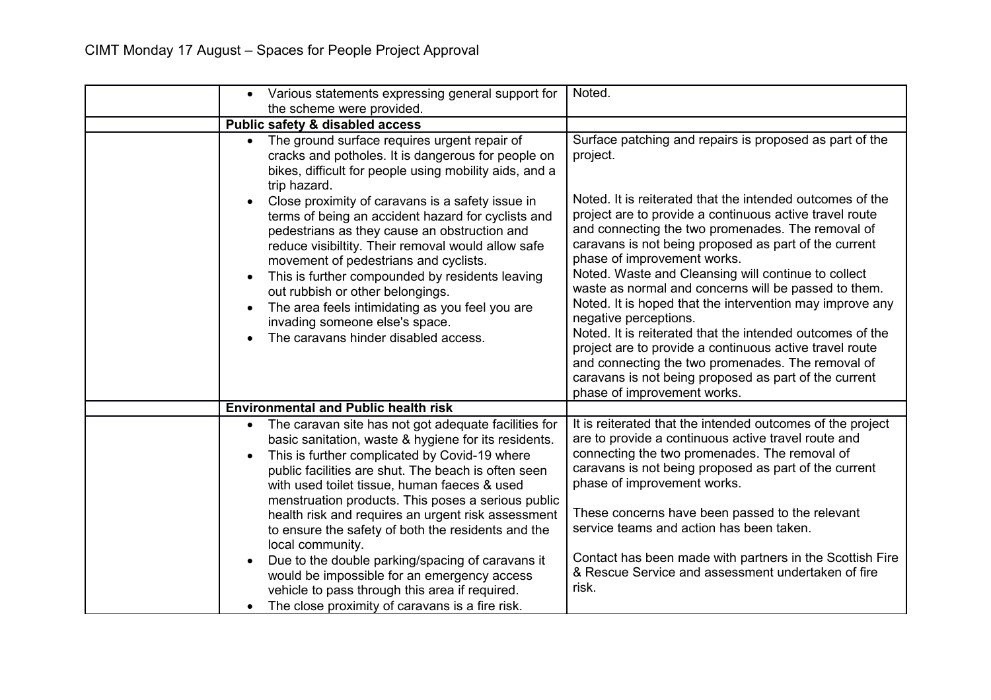| Various statements expressing general support for<br>$\bullet$<br>the scheme were provided.                                                                                                                                                                                                                                                                                                                                                                               | Noted.                                                                                                                                                                                                                                                                                                                                                                                                                                                                                                                                                                                                                                                                                                                                     |
|---------------------------------------------------------------------------------------------------------------------------------------------------------------------------------------------------------------------------------------------------------------------------------------------------------------------------------------------------------------------------------------------------------------------------------------------------------------------------|--------------------------------------------------------------------------------------------------------------------------------------------------------------------------------------------------------------------------------------------------------------------------------------------------------------------------------------------------------------------------------------------------------------------------------------------------------------------------------------------------------------------------------------------------------------------------------------------------------------------------------------------------------------------------------------------------------------------------------------------|
| Public safety & disabled access                                                                                                                                                                                                                                                                                                                                                                                                                                           |                                                                                                                                                                                                                                                                                                                                                                                                                                                                                                                                                                                                                                                                                                                                            |
| The ground surface requires urgent repair of<br>cracks and potholes. It is dangerous for people on<br>bikes, difficult for people using mobility aids, and a<br>trip hazard.                                                                                                                                                                                                                                                                                              | Surface patching and repairs is proposed as part of the<br>project.                                                                                                                                                                                                                                                                                                                                                                                                                                                                                                                                                                                                                                                                        |
| Close proximity of caravans is a safety issue in<br>terms of being an accident hazard for cyclists and<br>pedestrians as they cause an obstruction and<br>reduce visibiltity. Their removal would allow safe<br>movement of pedestrians and cyclists.<br>This is further compounded by residents leaving<br>out rubbish or other belongings.<br>The area feels intimidating as you feel you are<br>invading someone else's space.<br>The caravans hinder disabled access. | Noted. It is reiterated that the intended outcomes of the<br>project are to provide a continuous active travel route<br>and connecting the two promenades. The removal of<br>caravans is not being proposed as part of the current<br>phase of improvement works.<br>Noted. Waste and Cleansing will continue to collect<br>waste as normal and concerns will be passed to them.<br>Noted. It is hoped that the intervention may improve any<br>negative perceptions.<br>Noted. It is reiterated that the intended outcomes of the<br>project are to provide a continuous active travel route<br>and connecting the two promenades. The removal of<br>caravans is not being proposed as part of the current<br>phase of improvement works. |
| <b>Environmental and Public health risk</b>                                                                                                                                                                                                                                                                                                                                                                                                                               |                                                                                                                                                                                                                                                                                                                                                                                                                                                                                                                                                                                                                                                                                                                                            |
| The caravan site has not got adequate facilities for<br>basic sanitation, waste & hygiene for its residents.<br>This is further complicated by Covid-19 where<br>public facilities are shut. The beach is often seen<br>with used toilet tissue, human faeces & used<br>menstruation products. This poses a serious public                                                                                                                                                | It is reiterated that the intended outcomes of the project<br>are to provide a continuous active travel route and<br>connecting the two promenades. The removal of<br>caravans is not being proposed as part of the current<br>phase of improvement works.                                                                                                                                                                                                                                                                                                                                                                                                                                                                                 |
| health risk and requires an urgent risk assessment<br>to ensure the safety of both the residents and the<br>local community.<br>Due to the double parking/spacing of caravans it<br>would be impossible for an emergency access                                                                                                                                                                                                                                           | These concerns have been passed to the relevant<br>service teams and action has been taken.<br>Contact has been made with partners in the Scottish Fire<br>& Rescue Service and assessment undertaken of fire                                                                                                                                                                                                                                                                                                                                                                                                                                                                                                                              |
| vehicle to pass through this area if required.<br>The close proximity of caravans is a fire risk.                                                                                                                                                                                                                                                                                                                                                                         | risk.                                                                                                                                                                                                                                                                                                                                                                                                                                                                                                                                                                                                                                                                                                                                      |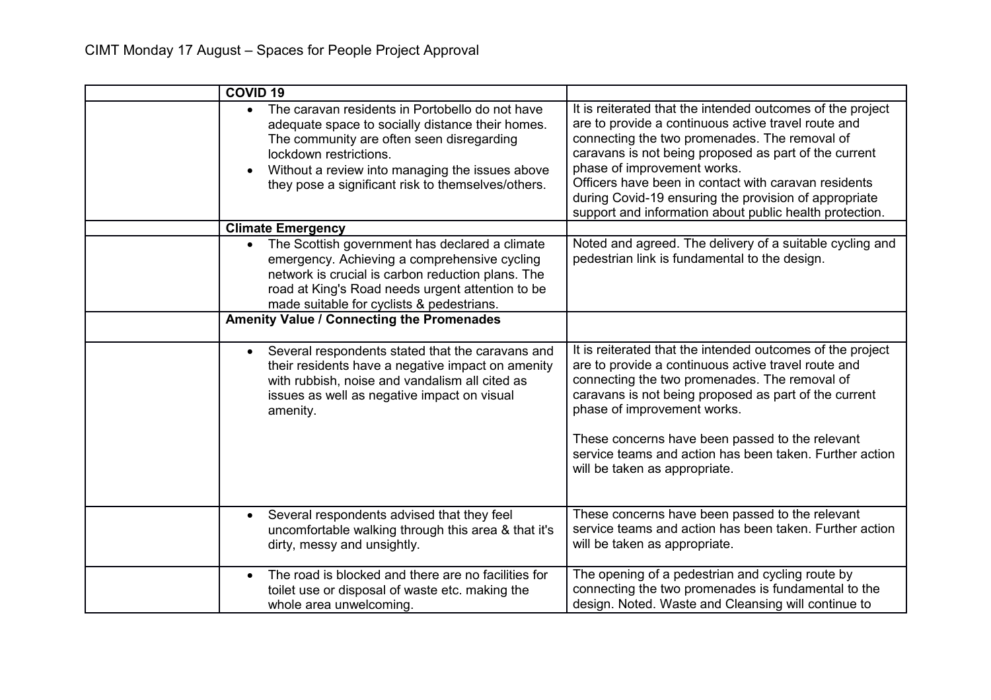| <b>COVID 19</b>                                                                                                                                                                                                                                                                                  |                                                                                                                                                                                                                                                                                                                                                                                                                                        |
|--------------------------------------------------------------------------------------------------------------------------------------------------------------------------------------------------------------------------------------------------------------------------------------------------|----------------------------------------------------------------------------------------------------------------------------------------------------------------------------------------------------------------------------------------------------------------------------------------------------------------------------------------------------------------------------------------------------------------------------------------|
| The caravan residents in Portobello do not have<br>$\bullet$<br>adequate space to socially distance their homes.<br>The community are often seen disregarding<br>lockdown restrictions.<br>Without a review into managing the issues above<br>they pose a significant risk to themselves/others. | It is reiterated that the intended outcomes of the project<br>are to provide a continuous active travel route and<br>connecting the two promenades. The removal of<br>caravans is not being proposed as part of the current<br>phase of improvement works.<br>Officers have been in contact with caravan residents<br>during Covid-19 ensuring the provision of appropriate<br>support and information about public health protection. |
| <b>Climate Emergency</b>                                                                                                                                                                                                                                                                         |                                                                                                                                                                                                                                                                                                                                                                                                                                        |
| The Scottish government has declared a climate<br>emergency. Achieving a comprehensive cycling<br>network is crucial is carbon reduction plans. The<br>road at King's Road needs urgent attention to be<br>made suitable for cyclists & pedestrians.                                             | Noted and agreed. The delivery of a suitable cycling and<br>pedestrian link is fundamental to the design.                                                                                                                                                                                                                                                                                                                              |
| <b>Amenity Value / Connecting the Promenades</b>                                                                                                                                                                                                                                                 |                                                                                                                                                                                                                                                                                                                                                                                                                                        |
| Several respondents stated that the caravans and<br>$\bullet$<br>their residents have a negative impact on amenity<br>with rubbish, noise and vandalism all cited as<br>issues as well as negative impact on visual<br>amenity.                                                                  | It is reiterated that the intended outcomes of the project<br>are to provide a continuous active travel route and<br>connecting the two promenades. The removal of<br>caravans is not being proposed as part of the current<br>phase of improvement works.<br>These concerns have been passed to the relevant<br>service teams and action has been taken. Further action<br>will be taken as appropriate.                              |
| Several respondents advised that they feel<br>uncomfortable walking through this area & that it's<br>dirty, messy and unsightly.                                                                                                                                                                 | These concerns have been passed to the relevant<br>service teams and action has been taken. Further action<br>will be taken as appropriate.                                                                                                                                                                                                                                                                                            |
| The road is blocked and there are no facilities for<br>$\bullet$<br>toilet use or disposal of waste etc. making the<br>whole area unwelcoming.                                                                                                                                                   | The opening of a pedestrian and cycling route by<br>connecting the two promenades is fundamental to the<br>design. Noted. Waste and Cleansing will continue to                                                                                                                                                                                                                                                                         |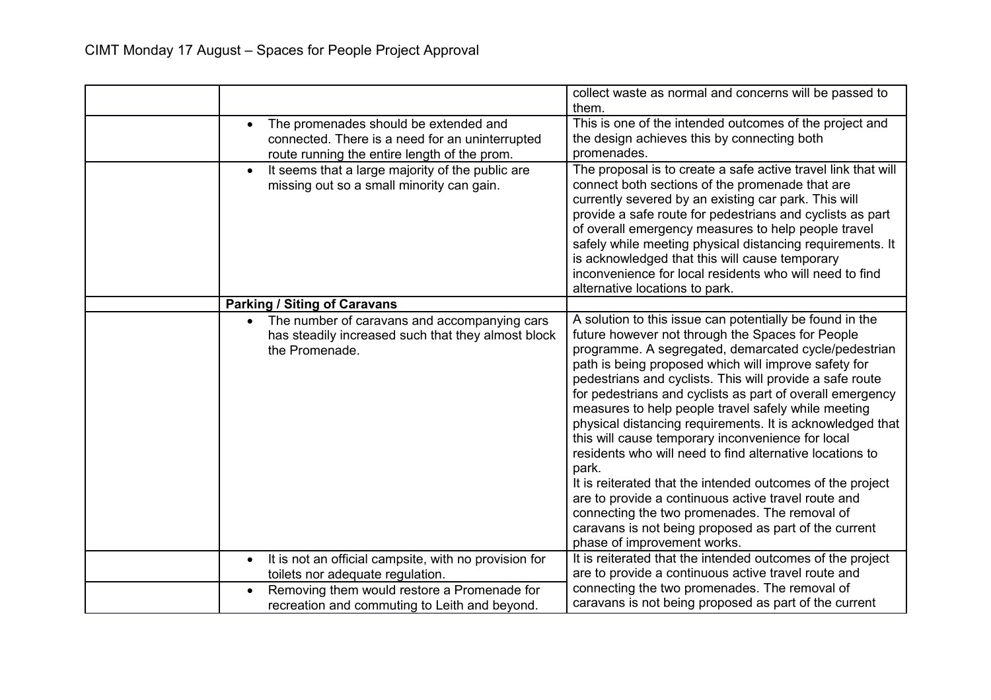|                                                                                                                      | collect waste as normal and concerns will be passed to                                                                                                                                                                                                                                                                                                                                                                                                                                                                                                                                                                                                                                                                                                                                                                                                            |
|----------------------------------------------------------------------------------------------------------------------|-------------------------------------------------------------------------------------------------------------------------------------------------------------------------------------------------------------------------------------------------------------------------------------------------------------------------------------------------------------------------------------------------------------------------------------------------------------------------------------------------------------------------------------------------------------------------------------------------------------------------------------------------------------------------------------------------------------------------------------------------------------------------------------------------------------------------------------------------------------------|
|                                                                                                                      | them.                                                                                                                                                                                                                                                                                                                                                                                                                                                                                                                                                                                                                                                                                                                                                                                                                                                             |
| The promenades should be extended and<br>$\bullet$                                                                   | This is one of the intended outcomes of the project and                                                                                                                                                                                                                                                                                                                                                                                                                                                                                                                                                                                                                                                                                                                                                                                                           |
| connected. There is a need for an uninterrupted                                                                      | the design achieves this by connecting both                                                                                                                                                                                                                                                                                                                                                                                                                                                                                                                                                                                                                                                                                                                                                                                                                       |
| route running the entire length of the prom.                                                                         | promenades.                                                                                                                                                                                                                                                                                                                                                                                                                                                                                                                                                                                                                                                                                                                                                                                                                                                       |
| It seems that a large majority of the public are<br>missing out so a small minority can gain.                        | The proposal is to create a safe active travel link that will<br>connect both sections of the promenade that are<br>currently severed by an existing car park. This will<br>provide a safe route for pedestrians and cyclists as part<br>of overall emergency measures to help people travel<br>safely while meeting physical distancing requirements. It<br>is acknowledged that this will cause temporary<br>inconvenience for local residents who will need to find                                                                                                                                                                                                                                                                                                                                                                                            |
|                                                                                                                      | alternative locations to park.                                                                                                                                                                                                                                                                                                                                                                                                                                                                                                                                                                                                                                                                                                                                                                                                                                    |
| <b>Parking / Siting of Caravans</b>                                                                                  |                                                                                                                                                                                                                                                                                                                                                                                                                                                                                                                                                                                                                                                                                                                                                                                                                                                                   |
| The number of caravans and accompanying cars<br>has steadily increased such that they almost block<br>the Promenade. | A solution to this issue can potentially be found in the<br>future however not through the Spaces for People<br>programme. A segregated, demarcated cycle/pedestrian<br>path is being proposed which will improve safety for<br>pedestrians and cyclists. This will provide a safe route<br>for pedestrians and cyclists as part of overall emergency<br>measures to help people travel safely while meeting<br>physical distancing requirements. It is acknowledged that<br>this will cause temporary inconvenience for local<br>residents who will need to find alternative locations to<br>park.<br>It is reiterated that the intended outcomes of the project<br>are to provide a continuous active travel route and<br>connecting the two promenades. The removal of<br>caravans is not being proposed as part of the current<br>phase of improvement works. |
| It is not an official campsite, with no provision for                                                                | It is reiterated that the intended outcomes of the project                                                                                                                                                                                                                                                                                                                                                                                                                                                                                                                                                                                                                                                                                                                                                                                                        |
| toilets nor adequate regulation.                                                                                     | are to provide a continuous active travel route and                                                                                                                                                                                                                                                                                                                                                                                                                                                                                                                                                                                                                                                                                                                                                                                                               |
| Removing them would restore a Promenade for<br>$\bullet$                                                             | connecting the two promenades. The removal of                                                                                                                                                                                                                                                                                                                                                                                                                                                                                                                                                                                                                                                                                                                                                                                                                     |
| recreation and commuting to Leith and beyond.                                                                        | caravans is not being proposed as part of the current                                                                                                                                                                                                                                                                                                                                                                                                                                                                                                                                                                                                                                                                                                                                                                                                             |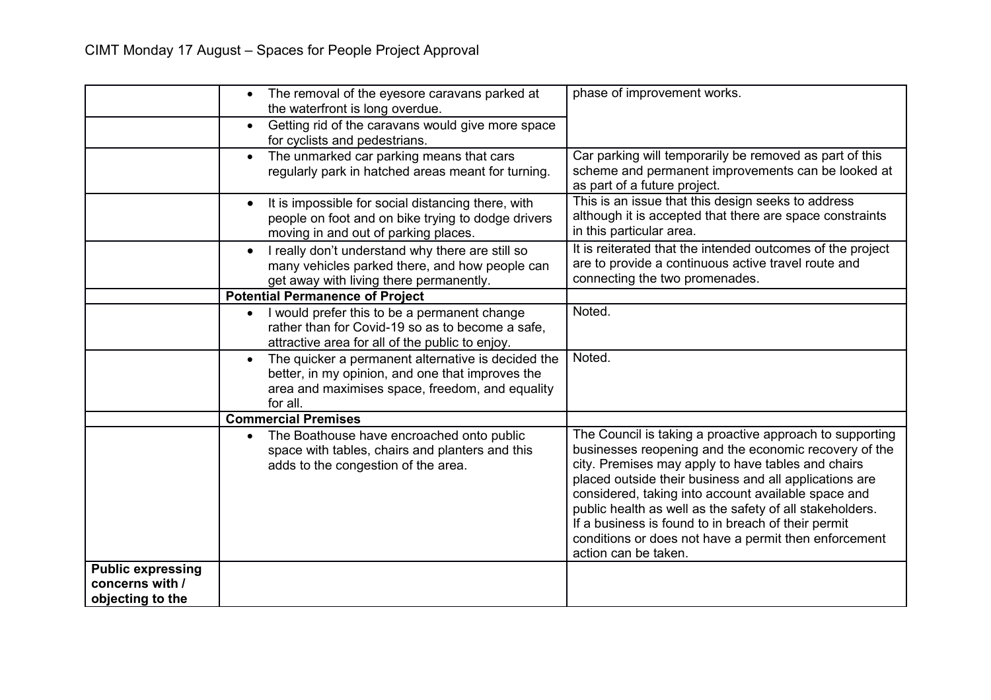|                                                                 | The removal of the eyesore caravans parked at<br>$\bullet$<br>the waterfront is long overdue.<br>Getting rid of the caravans would give more space<br>$\bullet$                    | phase of improvement works.                                                                                                                                                                                                                                                                                                                                                                                                                                                                  |
|-----------------------------------------------------------------|------------------------------------------------------------------------------------------------------------------------------------------------------------------------------------|----------------------------------------------------------------------------------------------------------------------------------------------------------------------------------------------------------------------------------------------------------------------------------------------------------------------------------------------------------------------------------------------------------------------------------------------------------------------------------------------|
|                                                                 | for cyclists and pedestrians.<br>The unmarked car parking means that cars<br>$\bullet$<br>regularly park in hatched areas meant for turning.                                       | Car parking will temporarily be removed as part of this<br>scheme and permanent improvements can be looked at<br>as part of a future project.                                                                                                                                                                                                                                                                                                                                                |
|                                                                 | It is impossible for social distancing there, with<br>people on foot and on bike trying to dodge drivers<br>moving in and out of parking places.                                   | This is an issue that this design seeks to address<br>although it is accepted that there are space constraints<br>in this particular area.                                                                                                                                                                                                                                                                                                                                                   |
|                                                                 | I really don't understand why there are still so<br>$\bullet$<br>many vehicles parked there, and how people can<br>get away with living there permanently.                         | It is reiterated that the intended outcomes of the project<br>are to provide a continuous active travel route and<br>connecting the two promenades.                                                                                                                                                                                                                                                                                                                                          |
|                                                                 | <b>Potential Permanence of Project</b>                                                                                                                                             |                                                                                                                                                                                                                                                                                                                                                                                                                                                                                              |
|                                                                 | I would prefer this to be a permanent change<br>rather than for Covid-19 so as to become a safe,<br>attractive area for all of the public to enjoy.                                | Noted.                                                                                                                                                                                                                                                                                                                                                                                                                                                                                       |
|                                                                 | The quicker a permanent alternative is decided the<br>$\bullet$<br>better, in my opinion, and one that improves the<br>area and maximises space, freedom, and equality<br>for all. | Noted.                                                                                                                                                                                                                                                                                                                                                                                                                                                                                       |
|                                                                 | <b>Commercial Premises</b>                                                                                                                                                         |                                                                                                                                                                                                                                                                                                                                                                                                                                                                                              |
|                                                                 | The Boathouse have encroached onto public<br>space with tables, chairs and planters and this<br>adds to the congestion of the area.                                                | The Council is taking a proactive approach to supporting<br>businesses reopening and the economic recovery of the<br>city. Premises may apply to have tables and chairs<br>placed outside their business and all applications are<br>considered, taking into account available space and<br>public health as well as the safety of all stakeholders.<br>If a business is found to in breach of their permit<br>conditions or does not have a permit then enforcement<br>action can be taken. |
| <b>Public expressing</b><br>concerns with /<br>objecting to the |                                                                                                                                                                                    |                                                                                                                                                                                                                                                                                                                                                                                                                                                                                              |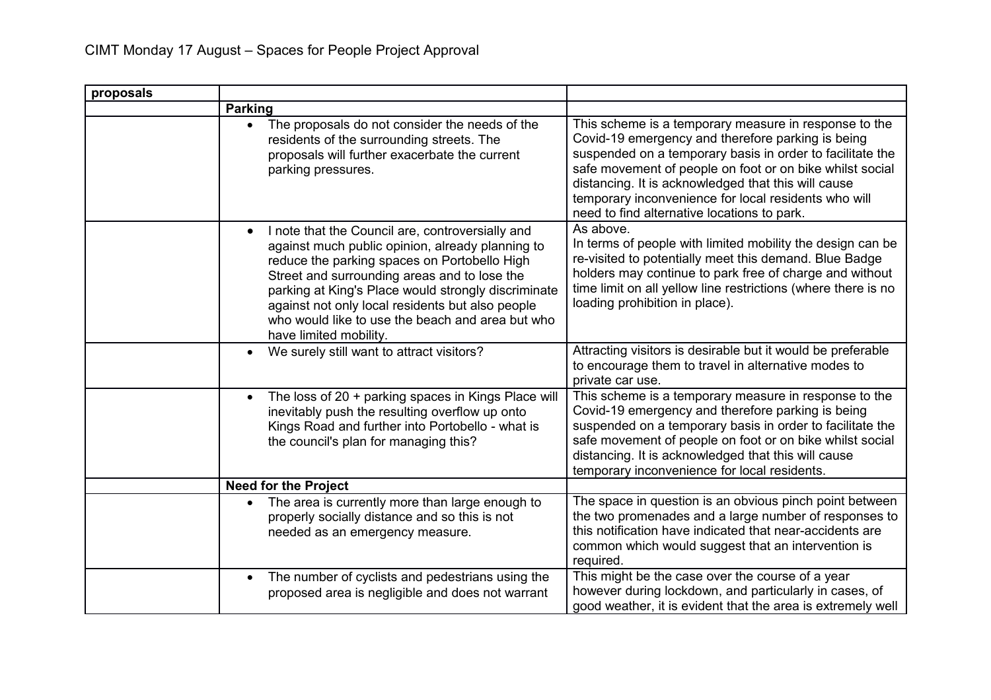| proposals |                                                                                                                                                                                                                                                                                                                                                                                                            |                                                                                                                                                                                                                                                                                                                                                                                                   |
|-----------|------------------------------------------------------------------------------------------------------------------------------------------------------------------------------------------------------------------------------------------------------------------------------------------------------------------------------------------------------------------------------------------------------------|---------------------------------------------------------------------------------------------------------------------------------------------------------------------------------------------------------------------------------------------------------------------------------------------------------------------------------------------------------------------------------------------------|
|           | <b>Parking</b>                                                                                                                                                                                                                                                                                                                                                                                             |                                                                                                                                                                                                                                                                                                                                                                                                   |
|           | The proposals do not consider the needs of the<br>$\bullet$<br>residents of the surrounding streets. The<br>proposals will further exacerbate the current<br>parking pressures.                                                                                                                                                                                                                            | This scheme is a temporary measure in response to the<br>Covid-19 emergency and therefore parking is being<br>suspended on a temporary basis in order to facilitate the<br>safe movement of people on foot or on bike whilst social<br>distancing. It is acknowledged that this will cause<br>temporary inconvenience for local residents who will<br>need to find alternative locations to park. |
|           | I note that the Council are, controversially and<br>$\bullet$<br>against much public opinion, already planning to<br>reduce the parking spaces on Portobello High<br>Street and surrounding areas and to lose the<br>parking at King's Place would strongly discriminate<br>against not only local residents but also people<br>who would like to use the beach and area but who<br>have limited mobility. | As above.<br>In terms of people with limited mobility the design can be<br>re-visited to potentially meet this demand. Blue Badge<br>holders may continue to park free of charge and without<br>time limit on all yellow line restrictions (where there is no<br>loading prohibition in place).                                                                                                   |
|           | We surely still want to attract visitors?                                                                                                                                                                                                                                                                                                                                                                  | Attracting visitors is desirable but it would be preferable<br>to encourage them to travel in alternative modes to<br>private car use.                                                                                                                                                                                                                                                            |
|           | The loss of 20 + parking spaces in Kings Place will<br>$\bullet$<br>inevitably push the resulting overflow up onto<br>Kings Road and further into Portobello - what is<br>the council's plan for managing this?                                                                                                                                                                                            | This scheme is a temporary measure in response to the<br>Covid-19 emergency and therefore parking is being<br>suspended on a temporary basis in order to facilitate the<br>safe movement of people on foot or on bike whilst social<br>distancing. It is acknowledged that this will cause<br>temporary inconvenience for local residents.                                                        |
|           | <b>Need for the Project</b>                                                                                                                                                                                                                                                                                                                                                                                |                                                                                                                                                                                                                                                                                                                                                                                                   |
|           | The area is currently more than large enough to<br>properly socially distance and so this is not<br>needed as an emergency measure.                                                                                                                                                                                                                                                                        | The space in question is an obvious pinch point between<br>the two promenades and a large number of responses to<br>this notification have indicated that near-accidents are<br>common which would suggest that an intervention is<br>required.                                                                                                                                                   |
|           | The number of cyclists and pedestrians using the<br>$\bullet$<br>proposed area is negligible and does not warrant                                                                                                                                                                                                                                                                                          | This might be the case over the course of a year<br>however during lockdown, and particularly in cases, of<br>good weather, it is evident that the area is extremely well                                                                                                                                                                                                                         |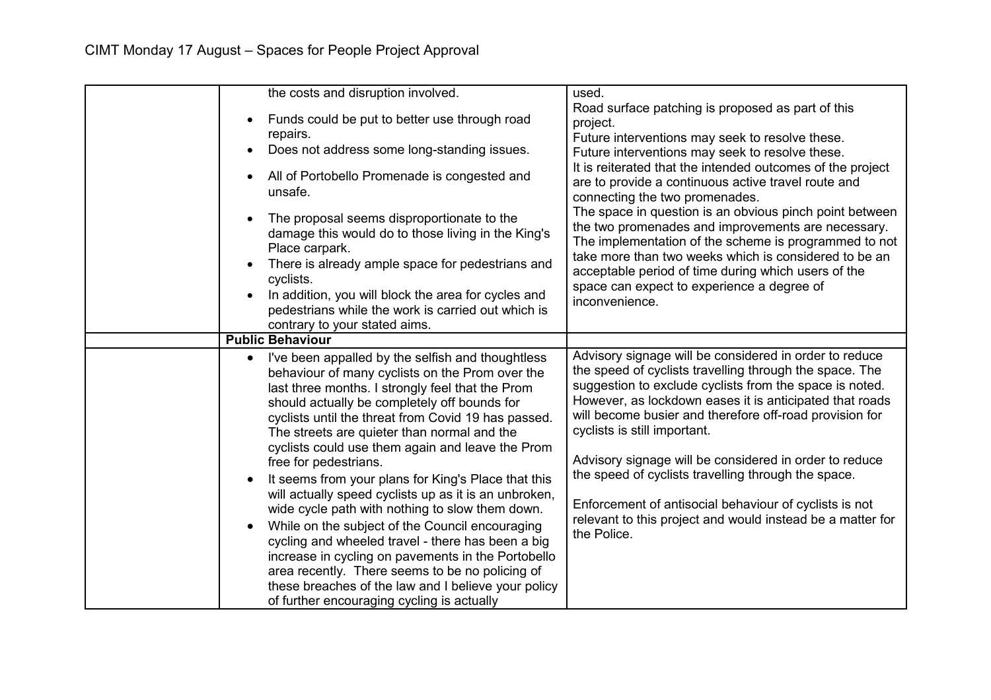| the costs and disruption involved.                       | used.                                                                                                       |
|----------------------------------------------------------|-------------------------------------------------------------------------------------------------------------|
|                                                          |                                                                                                             |
| Funds could be put to better use through road            | Road surface patching is proposed as part of this                                                           |
| repairs.                                                 | project.                                                                                                    |
| Does not address some long-standing issues.<br>$\bullet$ | Future interventions may seek to resolve these.                                                             |
|                                                          | Future interventions may seek to resolve these.                                                             |
| All of Portobello Promenade is congested and             | It is reiterated that the intended outcomes of the project                                                  |
| unsafe.                                                  | are to provide a continuous active travel route and                                                         |
|                                                          | connecting the two promenades.                                                                              |
| The proposal seems disproportionate to the               | The space in question is an obvious pinch point between                                                     |
| damage this would do to those living in the King's       | the two promenades and improvements are necessary.<br>The implementation of the scheme is programmed to not |
| Place carpark.                                           | take more than two weeks which is considered to be an                                                       |
| There is already ample space for pedestrians and         | acceptable period of time during which users of the                                                         |
| cyclists.                                                | space can expect to experience a degree of                                                                  |
| In addition, you will block the area for cycles and      | inconvenience.                                                                                              |
| pedestrians while the work is carried out which is       |                                                                                                             |
| contrary to your stated aims.                            |                                                                                                             |
| <b>Public Behaviour</b>                                  |                                                                                                             |
| I've been appalled by the selfish and thoughtless        | Advisory signage will be considered in order to reduce                                                      |
| behaviour of many cyclists on the Prom over the          | the speed of cyclists travelling through the space. The                                                     |
| last three months. I strongly feel that the Prom         | suggestion to exclude cyclists from the space is noted.                                                     |
| should actually be completely off bounds for             | However, as lockdown eases it is anticipated that roads                                                     |
| cyclists until the threat from Covid 19 has passed.      | will become busier and therefore off-road provision for                                                     |
| The streets are quieter than normal and the              | cyclists is still important.                                                                                |
| cyclists could use them again and leave the Prom         |                                                                                                             |
| free for pedestrians.                                    | Advisory signage will be considered in order to reduce                                                      |
| It seems from your plans for King's Place that this      | the speed of cyclists travelling through the space.                                                         |
| will actually speed cyclists up as it is an unbroken,    |                                                                                                             |
| wide cycle path with nothing to slow them down.          | Enforcement of antisocial behaviour of cyclists is not                                                      |
| While on the subject of the Council encouraging          | relevant to this project and would instead be a matter for<br>the Police.                                   |
| cycling and wheeled travel - there has been a big        |                                                                                                             |
| increase in cycling on pavements in the Portobello       |                                                                                                             |
| area recently. There seems to be no policing of          |                                                                                                             |
| these breaches of the law and I believe your policy      |                                                                                                             |
| of further encouraging cycling is actually               |                                                                                                             |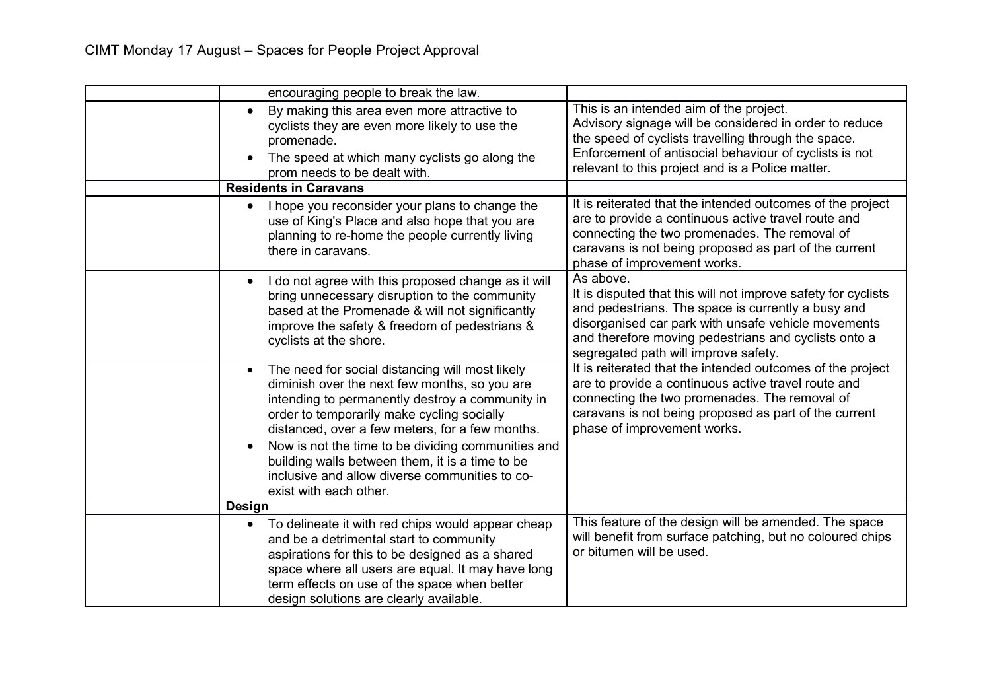| encouraging people to break the law.                                                                                                                                                                                                                                                                                                                                                                                                      |                                                                                                                                                                                                                                                                                         |
|-------------------------------------------------------------------------------------------------------------------------------------------------------------------------------------------------------------------------------------------------------------------------------------------------------------------------------------------------------------------------------------------------------------------------------------------|-----------------------------------------------------------------------------------------------------------------------------------------------------------------------------------------------------------------------------------------------------------------------------------------|
| By making this area even more attractive to<br>$\bullet$<br>cyclists they are even more likely to use the<br>promenade.<br>The speed at which many cyclists go along the<br>prom needs to be dealt with.                                                                                                                                                                                                                                  | This is an intended aim of the project.<br>Advisory signage will be considered in order to reduce<br>the speed of cyclists travelling through the space.<br>Enforcement of antisocial behaviour of cyclists is not<br>relevant to this project and is a Police matter.                  |
| <b>Residents in Caravans</b>                                                                                                                                                                                                                                                                                                                                                                                                              |                                                                                                                                                                                                                                                                                         |
| I hope you reconsider your plans to change the<br>$\bullet$<br>use of King's Place and also hope that you are<br>planning to re-home the people currently living<br>there in caravans.                                                                                                                                                                                                                                                    | It is reiterated that the intended outcomes of the project<br>are to provide a continuous active travel route and<br>connecting the two promenades. The removal of<br>caravans is not being proposed as part of the current<br>phase of improvement works.                              |
| I do not agree with this proposed change as it will<br>bring unnecessary disruption to the community<br>based at the Promenade & will not significantly<br>improve the safety & freedom of pedestrians &<br>cyclists at the shore.                                                                                                                                                                                                        | As above.<br>It is disputed that this will not improve safety for cyclists<br>and pedestrians. The space is currently a busy and<br>disorganised car park with unsafe vehicle movements<br>and therefore moving pedestrians and cyclists onto a<br>segregated path will improve safety. |
| The need for social distancing will most likely<br>diminish over the next few months, so you are<br>intending to permanently destroy a community in<br>order to temporarily make cycling socially<br>distanced, over a few meters, for a few months.<br>Now is not the time to be dividing communities and<br>building walls between them, it is a time to be<br>inclusive and allow diverse communities to co-<br>exist with each other. | It is reiterated that the intended outcomes of the project<br>are to provide a continuous active travel route and<br>connecting the two promenades. The removal of<br>caravans is not being proposed as part of the current<br>phase of improvement works.                              |
| <b>Design</b>                                                                                                                                                                                                                                                                                                                                                                                                                             |                                                                                                                                                                                                                                                                                         |
| To delineate it with red chips would appear cheap<br>$\bullet$<br>and be a detrimental start to community<br>aspirations for this to be designed as a shared<br>space where all users are equal. It may have long<br>term effects on use of the space when better<br>design solutions are clearly available.                                                                                                                              | This feature of the design will be amended. The space<br>will benefit from surface patching, but no coloured chips<br>or bitumen will be used.                                                                                                                                          |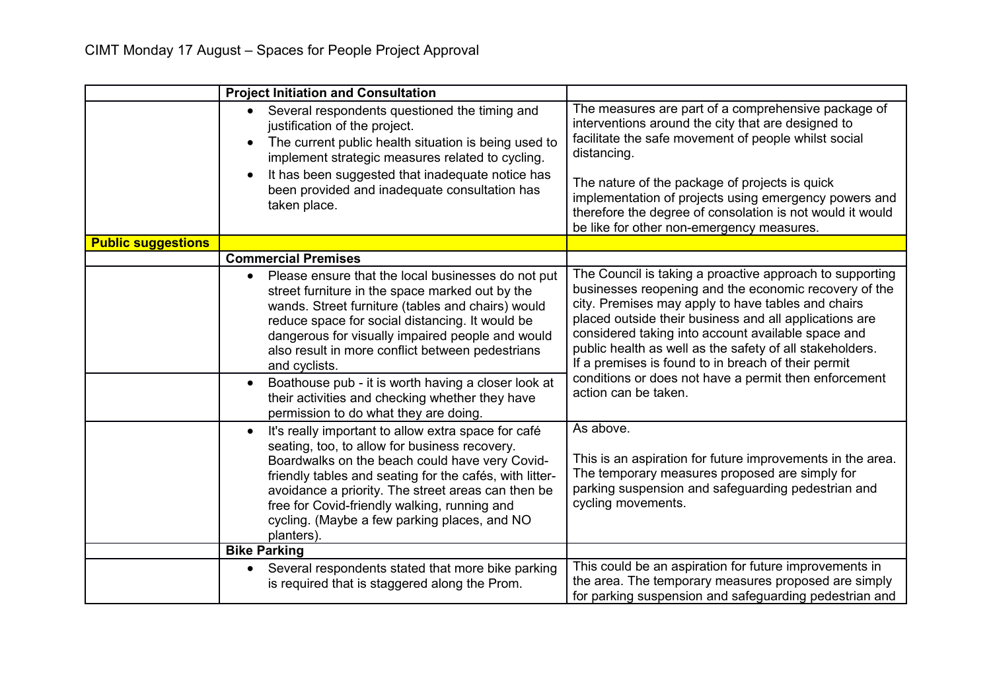|                           | <b>Project Initiation and Consultation</b>                                                                                                                                                                                                                                                                                                                                                                                                                                                             |                                                                                                                                                                                                                                                                                                                                                                                                                                                                                             |
|---------------------------|--------------------------------------------------------------------------------------------------------------------------------------------------------------------------------------------------------------------------------------------------------------------------------------------------------------------------------------------------------------------------------------------------------------------------------------------------------------------------------------------------------|---------------------------------------------------------------------------------------------------------------------------------------------------------------------------------------------------------------------------------------------------------------------------------------------------------------------------------------------------------------------------------------------------------------------------------------------------------------------------------------------|
|                           | Several respondents questioned the timing and<br>$\bullet$<br>justification of the project.<br>The current public health situation is being used to<br>$\bullet$<br>implement strategic measures related to cycling.<br>It has been suggested that inadequate notice has<br>been provided and inadequate consultation has<br>taken place.                                                                                                                                                              | The measures are part of a comprehensive package of<br>interventions around the city that are designed to<br>facilitate the safe movement of people whilst social<br>distancing.<br>The nature of the package of projects is quick<br>implementation of projects using emergency powers and<br>therefore the degree of consolation is not would it would<br>be like for other non-emergency measures.                                                                                       |
| <b>Public suggestions</b> |                                                                                                                                                                                                                                                                                                                                                                                                                                                                                                        |                                                                                                                                                                                                                                                                                                                                                                                                                                                                                             |
|                           | <b>Commercial Premises</b>                                                                                                                                                                                                                                                                                                                                                                                                                                                                             |                                                                                                                                                                                                                                                                                                                                                                                                                                                                                             |
|                           | Please ensure that the local businesses do not put<br>$\bullet$<br>street furniture in the space marked out by the<br>wands. Street furniture (tables and chairs) would<br>reduce space for social distancing. It would be<br>dangerous for visually impaired people and would<br>also result in more conflict between pedestrians<br>and cyclists.<br>Boathouse pub - it is worth having a closer look at<br>their activities and checking whether they have<br>permission to do what they are doing. | The Council is taking a proactive approach to supporting<br>businesses reopening and the economic recovery of the<br>city. Premises may apply to have tables and chairs<br>placed outside their business and all applications are<br>considered taking into account available space and<br>public health as well as the safety of all stakeholders.<br>If a premises is found to in breach of their permit<br>conditions or does not have a permit then enforcement<br>action can be taken. |
|                           | It's really important to allow extra space for café<br>$\bullet$<br>seating, too, to allow for business recovery.<br>Boardwalks on the beach could have very Covid-<br>friendly tables and seating for the cafés, with litter-<br>avoidance a priority. The street areas can then be<br>free for Covid-friendly walking, running and<br>cycling. (Maybe a few parking places, and NO<br>planters).                                                                                                     | As above.<br>This is an aspiration for future improvements in the area.<br>The temporary measures proposed are simply for<br>parking suspension and safeguarding pedestrian and<br>cycling movements.                                                                                                                                                                                                                                                                                       |
|                           | <b>Bike Parking</b>                                                                                                                                                                                                                                                                                                                                                                                                                                                                                    |                                                                                                                                                                                                                                                                                                                                                                                                                                                                                             |
|                           | Several respondents stated that more bike parking<br>$\bullet$<br>is required that is staggered along the Prom.                                                                                                                                                                                                                                                                                                                                                                                        | This could be an aspiration for future improvements in<br>the area. The temporary measures proposed are simply<br>for parking suspension and safeguarding pedestrian and                                                                                                                                                                                                                                                                                                                    |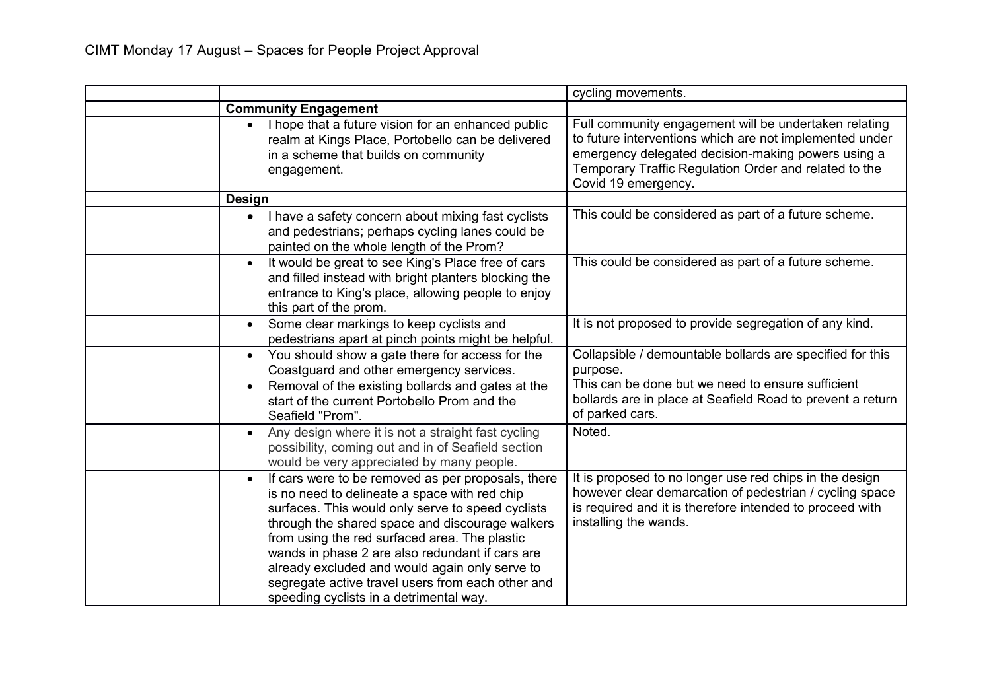|                                                                                                                                                                                                                                                                                                                                                                                                                                                                                | cycling movements.                                                                                                                                                                                                                                     |
|--------------------------------------------------------------------------------------------------------------------------------------------------------------------------------------------------------------------------------------------------------------------------------------------------------------------------------------------------------------------------------------------------------------------------------------------------------------------------------|--------------------------------------------------------------------------------------------------------------------------------------------------------------------------------------------------------------------------------------------------------|
| <b>Community Engagement</b>                                                                                                                                                                                                                                                                                                                                                                                                                                                    |                                                                                                                                                                                                                                                        |
| I hope that a future vision for an enhanced public<br>$\bullet$<br>realm at Kings Place, Portobello can be delivered<br>in a scheme that builds on community<br>engagement.                                                                                                                                                                                                                                                                                                    | Full community engagement will be undertaken relating<br>to future interventions which are not implemented under<br>emergency delegated decision-making powers using a<br>Temporary Traffic Regulation Order and related to the<br>Covid 19 emergency. |
| <b>Design</b>                                                                                                                                                                                                                                                                                                                                                                                                                                                                  |                                                                                                                                                                                                                                                        |
| I have a safety concern about mixing fast cyclists<br>and pedestrians; perhaps cycling lanes could be<br>painted on the whole length of the Prom?                                                                                                                                                                                                                                                                                                                              | This could be considered as part of a future scheme.                                                                                                                                                                                                   |
| It would be great to see King's Place free of cars<br>$\bullet$<br>and filled instead with bright planters blocking the<br>entrance to King's place, allowing people to enjoy<br>this part of the prom.                                                                                                                                                                                                                                                                        | This could be considered as part of a future scheme.                                                                                                                                                                                                   |
| Some clear markings to keep cyclists and<br>$\bullet$<br>pedestrians apart at pinch points might be helpful.                                                                                                                                                                                                                                                                                                                                                                   | It is not proposed to provide segregation of any kind.                                                                                                                                                                                                 |
| You should show a gate there for access for the<br>$\bullet$<br>Coastguard and other emergency services.<br>Removal of the existing bollards and gates at the<br>start of the current Portobello Prom and the<br>Seafield "Prom".                                                                                                                                                                                                                                              | Collapsible / demountable bollards are specified for this<br>purpose.<br>This can be done but we need to ensure sufficient<br>bollards are in place at Seafield Road to prevent a return<br>of parked cars.                                            |
| Any design where it is not a straight fast cycling<br>possibility, coming out and in of Seafield section<br>would be very appreciated by many people.                                                                                                                                                                                                                                                                                                                          | Noted.                                                                                                                                                                                                                                                 |
| If cars were to be removed as per proposals, there<br>$\bullet$<br>is no need to delineate a space with red chip<br>surfaces. This would only serve to speed cyclists<br>through the shared space and discourage walkers<br>from using the red surfaced area. The plastic<br>wands in phase 2 are also redundant if cars are<br>already excluded and would again only serve to<br>segregate active travel users from each other and<br>speeding cyclists in a detrimental way. | It is proposed to no longer use red chips in the design<br>however clear demarcation of pedestrian / cycling space<br>is required and it is therefore intended to proceed with<br>installing the wands.                                                |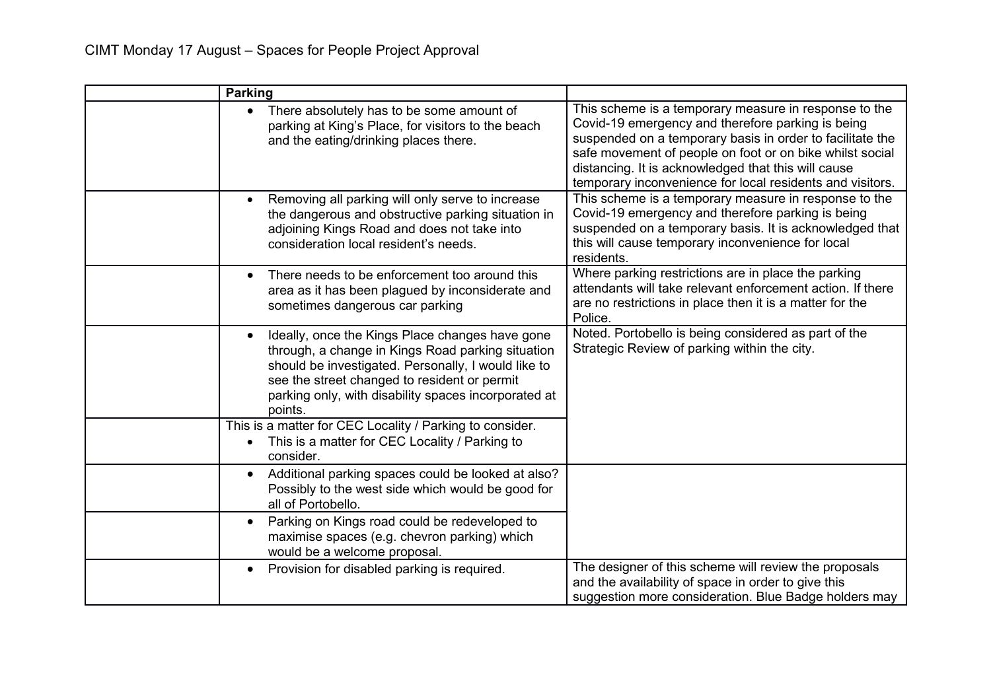| <b>Parking</b>                                                                                                                                                                                                                                                                 |                                                                                                                                                                                                                                                                                                                                                         |
|--------------------------------------------------------------------------------------------------------------------------------------------------------------------------------------------------------------------------------------------------------------------------------|---------------------------------------------------------------------------------------------------------------------------------------------------------------------------------------------------------------------------------------------------------------------------------------------------------------------------------------------------------|
| There absolutely has to be some amount of<br>$\bullet$<br>parking at King's Place, for visitors to the beach<br>and the eating/drinking places there.                                                                                                                          | This scheme is a temporary measure in response to the<br>Covid-19 emergency and therefore parking is being<br>suspended on a temporary basis in order to facilitate the<br>safe movement of people on foot or on bike whilst social<br>distancing. It is acknowledged that this will cause<br>temporary inconvenience for local residents and visitors. |
| Removing all parking will only serve to increase<br>the dangerous and obstructive parking situation in<br>adjoining Kings Road and does not take into<br>consideration local resident's needs.                                                                                 | This scheme is a temporary measure in response to the<br>Covid-19 emergency and therefore parking is being<br>suspended on a temporary basis. It is acknowledged that<br>this will cause temporary inconvenience for local<br>residents.                                                                                                                |
| There needs to be enforcement too around this<br>area as it has been plagued by inconsiderate and<br>sometimes dangerous car parking                                                                                                                                           | Where parking restrictions are in place the parking<br>attendants will take relevant enforcement action. If there<br>are no restrictions in place then it is a matter for the<br>Police.                                                                                                                                                                |
| Ideally, once the Kings Place changes have gone<br>through, a change in Kings Road parking situation<br>should be investigated. Personally, I would like to<br>see the street changed to resident or permit<br>parking only, with disability spaces incorporated at<br>points. | Noted. Portobello is being considered as part of the<br>Strategic Review of parking within the city.                                                                                                                                                                                                                                                    |
| This is a matter for CEC Locality / Parking to consider.<br>This is a matter for CEC Locality / Parking to<br>consider.                                                                                                                                                        |                                                                                                                                                                                                                                                                                                                                                         |
| Additional parking spaces could be looked at also?<br>$\bullet$<br>Possibly to the west side which would be good for<br>all of Portobello.                                                                                                                                     |                                                                                                                                                                                                                                                                                                                                                         |
| Parking on Kings road could be redeveloped to<br>$\bullet$<br>maximise spaces (e.g. chevron parking) which<br>would be a welcome proposal.                                                                                                                                     |                                                                                                                                                                                                                                                                                                                                                         |
| Provision for disabled parking is required.<br>$\bullet$                                                                                                                                                                                                                       | The designer of this scheme will review the proposals<br>and the availability of space in order to give this<br>suggestion more consideration. Blue Badge holders may                                                                                                                                                                                   |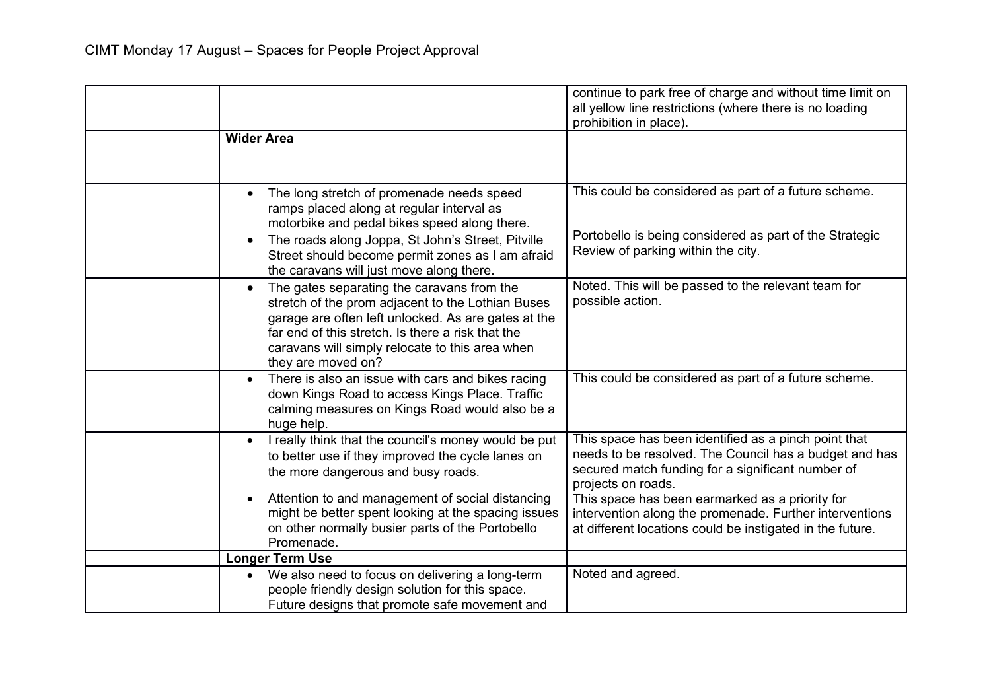|                                                                                                                                                                                                                                                                                                   | continue to park free of charge and without time limit on<br>all yellow line restrictions (where there is no loading<br>prohibition in place).                                            |
|---------------------------------------------------------------------------------------------------------------------------------------------------------------------------------------------------------------------------------------------------------------------------------------------------|-------------------------------------------------------------------------------------------------------------------------------------------------------------------------------------------|
| <b>Wider Area</b>                                                                                                                                                                                                                                                                                 |                                                                                                                                                                                           |
| The long stretch of promenade needs speed<br>$\bullet$<br>ramps placed along at regular interval as<br>motorbike and pedal bikes speed along there.                                                                                                                                               | This could be considered as part of a future scheme.                                                                                                                                      |
| The roads along Joppa, St John's Street, Pitville<br>Street should become permit zones as I am afraid<br>the caravans will just move along there.                                                                                                                                                 | Portobello is being considered as part of the Strategic<br>Review of parking within the city.                                                                                             |
| The gates separating the caravans from the<br>$\bullet$<br>stretch of the prom adjacent to the Lothian Buses<br>garage are often left unlocked. As are gates at the<br>far end of this stretch. Is there a risk that the<br>caravans will simply relocate to this area when<br>they are moved on? | Noted. This will be passed to the relevant team for<br>possible action.                                                                                                                   |
| There is also an issue with cars and bikes racing<br>down Kings Road to access Kings Place. Traffic<br>calming measures on Kings Road would also be a<br>huge help.                                                                                                                               | This could be considered as part of a future scheme.                                                                                                                                      |
| I really think that the council's money would be put<br>$\bullet$<br>to better use if they improved the cycle lanes on<br>the more dangerous and busy roads.                                                                                                                                      | This space has been identified as a pinch point that<br>needs to be resolved. The Council has a budget and has<br>secured match funding for a significant number of<br>projects on roads. |
| Attention to and management of social distancing<br>might be better spent looking at the spacing issues<br>on other normally busier parts of the Portobello<br>Promenade.                                                                                                                         | This space has been earmarked as a priority for<br>intervention along the promenade. Further interventions<br>at different locations could be instigated in the future.                   |
| <b>Longer Term Use</b>                                                                                                                                                                                                                                                                            |                                                                                                                                                                                           |
| We also need to focus on delivering a long-term<br>$\bullet$<br>people friendly design solution for this space.<br>Future designs that promote safe movement and                                                                                                                                  | Noted and agreed.                                                                                                                                                                         |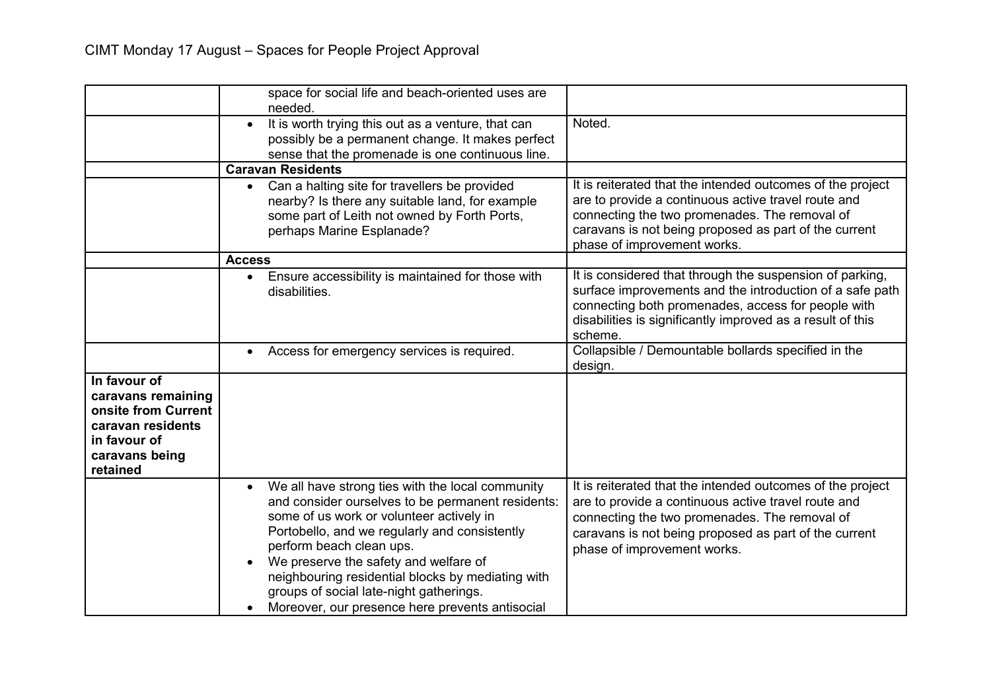|                                                                                                                              | space for social life and beach-oriented uses are<br>needed.                                                                                                                                                                                                                                                                                                                                                                            |                                                                                                                                                                                                                                                            |
|------------------------------------------------------------------------------------------------------------------------------|-----------------------------------------------------------------------------------------------------------------------------------------------------------------------------------------------------------------------------------------------------------------------------------------------------------------------------------------------------------------------------------------------------------------------------------------|------------------------------------------------------------------------------------------------------------------------------------------------------------------------------------------------------------------------------------------------------------|
|                                                                                                                              | It is worth trying this out as a venture, that can<br>$\bullet$<br>possibly be a permanent change. It makes perfect<br>sense that the promenade is one continuous line.                                                                                                                                                                                                                                                                 | Noted.                                                                                                                                                                                                                                                     |
|                                                                                                                              | <b>Caravan Residents</b>                                                                                                                                                                                                                                                                                                                                                                                                                |                                                                                                                                                                                                                                                            |
|                                                                                                                              | Can a halting site for travellers be provided<br>nearby? Is there any suitable land, for example<br>some part of Leith not owned by Forth Ports,<br>perhaps Marine Esplanade?                                                                                                                                                                                                                                                           | It is reiterated that the intended outcomes of the project<br>are to provide a continuous active travel route and<br>connecting the two promenades. The removal of<br>caravans is not being proposed as part of the current<br>phase of improvement works. |
|                                                                                                                              | <b>Access</b>                                                                                                                                                                                                                                                                                                                                                                                                                           |                                                                                                                                                                                                                                                            |
|                                                                                                                              | Ensure accessibility is maintained for those with<br>disabilities.                                                                                                                                                                                                                                                                                                                                                                      | It is considered that through the suspension of parking,<br>surface improvements and the introduction of a safe path<br>connecting both promenades, access for people with<br>disabilities is significantly improved as a result of this<br>scheme.        |
|                                                                                                                              | Access for emergency services is required.<br>$\bullet$                                                                                                                                                                                                                                                                                                                                                                                 | Collapsible / Demountable bollards specified in the<br>design.                                                                                                                                                                                             |
| In favour of<br>caravans remaining<br>onsite from Current<br>caravan residents<br>in favour of<br>caravans being<br>retained |                                                                                                                                                                                                                                                                                                                                                                                                                                         |                                                                                                                                                                                                                                                            |
|                                                                                                                              | We all have strong ties with the local community<br>$\bullet$<br>and consider ourselves to be permanent residents:<br>some of us work or volunteer actively in<br>Portobello, and we regularly and consistently<br>perform beach clean ups.<br>We preserve the safety and welfare of<br>neighbouring residential blocks by mediating with<br>groups of social late-night gatherings.<br>Moreover, our presence here prevents antisocial | It is reiterated that the intended outcomes of the project<br>are to provide a continuous active travel route and<br>connecting the two promenades. The removal of<br>caravans is not being proposed as part of the current<br>phase of improvement works. |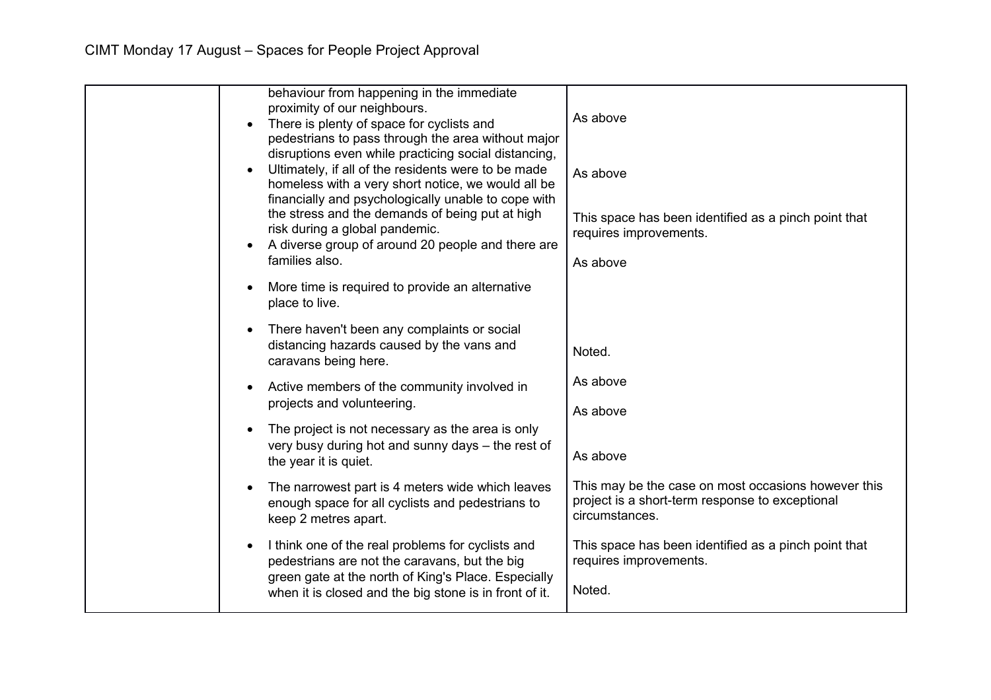| behaviour from happening in the immediate<br>proximity of our neighbours.<br>There is plenty of space for cyclists and<br>pedestrians to pass through the area without major<br>disruptions even while practicing social distancing, | As above                                                                                                                 |
|--------------------------------------------------------------------------------------------------------------------------------------------------------------------------------------------------------------------------------------|--------------------------------------------------------------------------------------------------------------------------|
| Ultimately, if all of the residents were to be made<br>homeless with a very short notice, we would all be                                                                                                                            | As above                                                                                                                 |
| financially and psychologically unable to cope with<br>the stress and the demands of being put at high<br>risk during a global pandemic.<br>A diverse group of around 20 people and there are<br>families also.                      | This space has been identified as a pinch point that<br>requires improvements.                                           |
|                                                                                                                                                                                                                                      | As above                                                                                                                 |
| More time is required to provide an alternative<br>place to live.                                                                                                                                                                    |                                                                                                                          |
| There haven't been any complaints or social<br>distancing hazards caused by the vans and<br>caravans being here.                                                                                                                     | Noted.                                                                                                                   |
| Active members of the community involved in<br>projects and volunteering.                                                                                                                                                            | As above                                                                                                                 |
|                                                                                                                                                                                                                                      | As above                                                                                                                 |
| The project is not necessary as the area is only                                                                                                                                                                                     |                                                                                                                          |
| very busy during hot and sunny days - the rest of<br>the year it is quiet.                                                                                                                                                           | As above                                                                                                                 |
| The narrowest part is 4 meters wide which leaves<br>enough space for all cyclists and pedestrians to<br>keep 2 metres apart.                                                                                                         | This may be the case on most occasions however this<br>project is a short-term response to exceptional<br>circumstances. |
| I think one of the real problems for cyclists and<br>pedestrians are not the caravans, but the big                                                                                                                                   | This space has been identified as a pinch point that<br>requires improvements.                                           |
| green gate at the north of King's Place. Especially<br>when it is closed and the big stone is in front of it.                                                                                                                        | Noted.                                                                                                                   |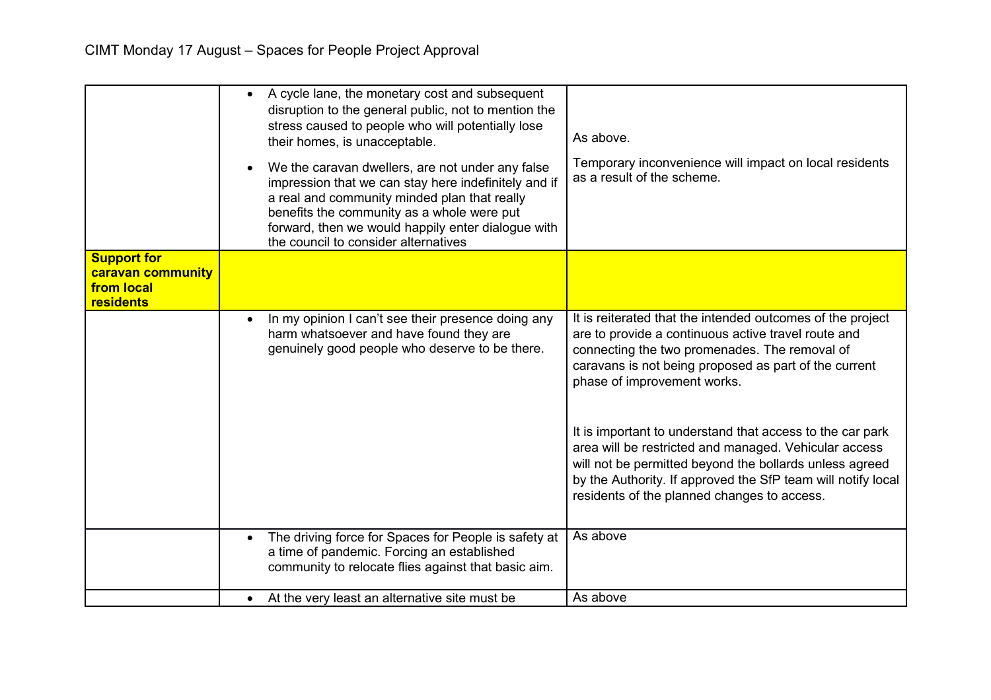|                                                                    | A cycle lane, the monetary cost and subsequent<br>disruption to the general public, not to mention the<br>stress caused to people who will potentially lose<br>their homes, is unacceptable.<br>We the caravan dwellers, are not under any false<br>impression that we can stay here indefinitely and if<br>a real and community minded plan that really<br>benefits the community as a whole were put | As above.<br>Temporary inconvenience will impact on local residents<br>as a result of the scheme.                                                                                                                                                                                            |
|--------------------------------------------------------------------|--------------------------------------------------------------------------------------------------------------------------------------------------------------------------------------------------------------------------------------------------------------------------------------------------------------------------------------------------------------------------------------------------------|----------------------------------------------------------------------------------------------------------------------------------------------------------------------------------------------------------------------------------------------------------------------------------------------|
|                                                                    | forward, then we would happily enter dialogue with<br>the council to consider alternatives                                                                                                                                                                                                                                                                                                             |                                                                                                                                                                                                                                                                                              |
| <b>Support for</b><br>caravan community<br>from local<br>residents |                                                                                                                                                                                                                                                                                                                                                                                                        |                                                                                                                                                                                                                                                                                              |
|                                                                    | In my opinion I can't see their presence doing any<br>harm whatsoever and have found they are<br>genuinely good people who deserve to be there.                                                                                                                                                                                                                                                        | It is reiterated that the intended outcomes of the project<br>are to provide a continuous active travel route and<br>connecting the two promenades. The removal of<br>caravans is not being proposed as part of the current<br>phase of improvement works.                                   |
|                                                                    |                                                                                                                                                                                                                                                                                                                                                                                                        | It is important to understand that access to the car park<br>area will be restricted and managed. Vehicular access<br>will not be permitted beyond the bollards unless agreed<br>by the Authority. If approved the SfP team will notify local<br>residents of the planned changes to access. |
|                                                                    | The driving force for Spaces for People is safety at<br>a time of pandemic. Forcing an established<br>community to relocate flies against that basic aim.                                                                                                                                                                                                                                              | As above                                                                                                                                                                                                                                                                                     |
|                                                                    | • At the very least an alternative site must be                                                                                                                                                                                                                                                                                                                                                        | As above                                                                                                                                                                                                                                                                                     |